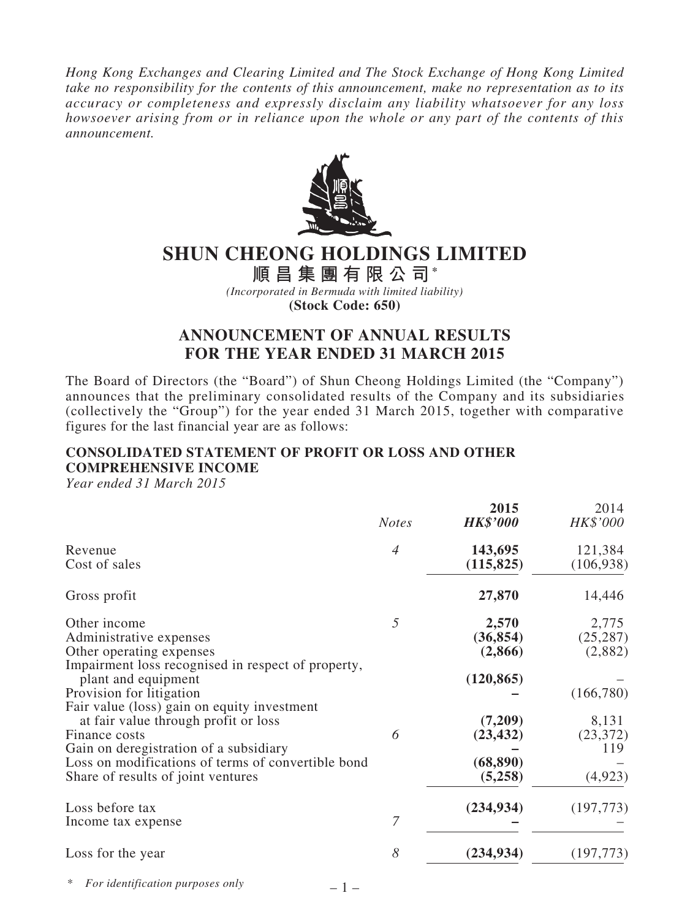*Hong Kong Exchanges and Clearing Limited and The Stock Exchange of Hong Kong Limited take no responsibility for the contents of this announcement, make no representation as to its accuracy or completeness and expressly disclaim any liability whatsoever for any loss howsoever arising from or in reliance upon the whole or any part of the contents of this announcement.*



# **SHUN CHEONG HOLDINGS LIMITED**

**順 昌 集 團 有 限 公 司\*** *(Incorporated in Bermuda with limited liability)*

**(Stock Code: 650)**

# **ANNOUNCEMENT OF ANNUAL RESULTS FOR THE YEAR ENDED 31 MARCH 2015**

The Board of Directors (the "Board") of Shun Cheong Holdings Limited (the "Company") announces that the preliminary consolidated results of the Company and its subsidiaries (collectively the "Group") for the year ended 31 March 2015, together with comparative figures for the last financial year are as follows:

# **CONSOLIDATED STATEMENT OF PROFIT OR LOSS AND OTHER COMPREHENSIVE INCOME**

*Year ended 31 March 2015*

| 143,695                                                                                     | 121,384                                                                             |
|---------------------------------------------------------------------------------------------|-------------------------------------------------------------------------------------|
| (115, 825)                                                                                  | (106, 938)                                                                          |
| 27,870                                                                                      | 14,446                                                                              |
| 2,570<br>(36, 854)<br>(2,866)<br>(120, 865)<br>(7,209)<br>(23, 432)<br>(68, 890)<br>(5,258) | 2,775<br>(25, 287)<br>(2,882)<br>(166,780)<br>8,131<br>(23, 372)<br>119<br>(4, 923) |
| (234, 934)                                                                                  | (197, 773)                                                                          |
| (234, 934)                                                                                  | (197, 773)                                                                          |
|                                                                                             |                                                                                     |

\* *For identification purposes only*

 $-1-$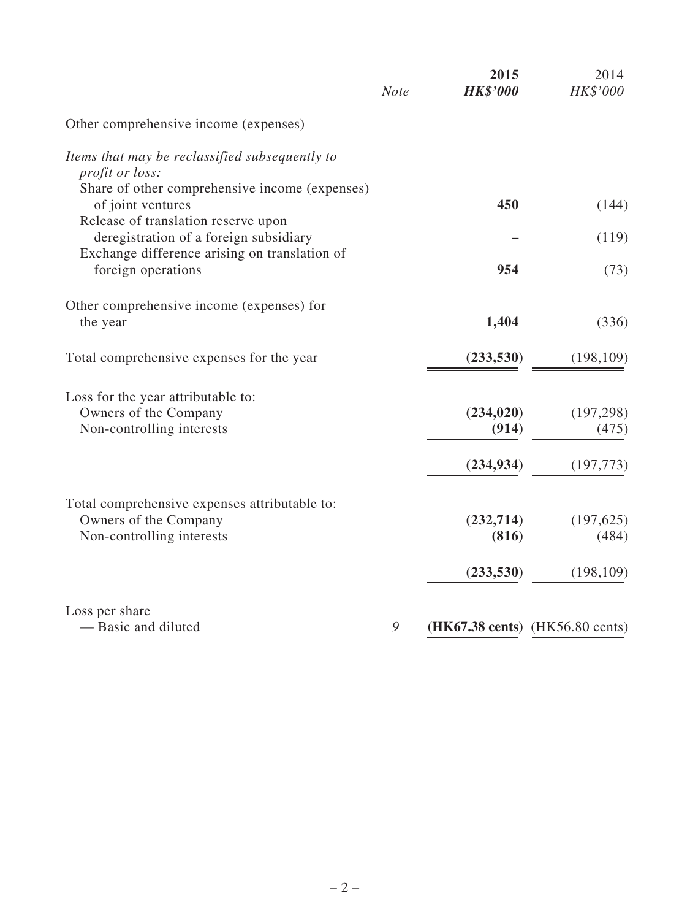|                                                                               | <b>Note</b> | 2015<br><b>HK\$'000</b> | 2014<br>HK\$'000                |
|-------------------------------------------------------------------------------|-------------|-------------------------|---------------------------------|
| Other comprehensive income (expenses)                                         |             |                         |                                 |
| Items that may be reclassified subsequently to                                |             |                         |                                 |
| profit or loss:<br>Share of other comprehensive income (expenses)             |             |                         |                                 |
| of joint ventures                                                             |             | 450                     | (144)                           |
| Release of translation reserve upon<br>deregistration of a foreign subsidiary |             |                         | (119)                           |
| Exchange difference arising on translation of                                 |             |                         |                                 |
| foreign operations                                                            |             | 954                     | (73)                            |
| Other comprehensive income (expenses) for                                     |             |                         |                                 |
| the year                                                                      |             | 1,404                   | (336)                           |
|                                                                               |             |                         |                                 |
| Total comprehensive expenses for the year                                     |             | (233, 530)              | (198, 109)                      |
| Loss for the year attributable to:                                            |             |                         |                                 |
| Owners of the Company                                                         |             | (234, 020)              | (197, 298)                      |
| Non-controlling interests                                                     |             | (914)                   | (475)                           |
|                                                                               |             | (234, 934)              | (197, 773)                      |
|                                                                               |             |                         |                                 |
| Total comprehensive expenses attributable to:                                 |             |                         |                                 |
| Owners of the Company<br>Non-controlling interests                            |             | (232, 714)<br>(816)     | (197, 625)<br>(484)             |
|                                                                               |             |                         |                                 |
|                                                                               |             | (233, 530)              | (198, 109)                      |
| Loss per share                                                                |             |                         |                                 |
| - Basic and diluted                                                           | 9           |                         | (HK67.38 cents) (HK56.80 cents) |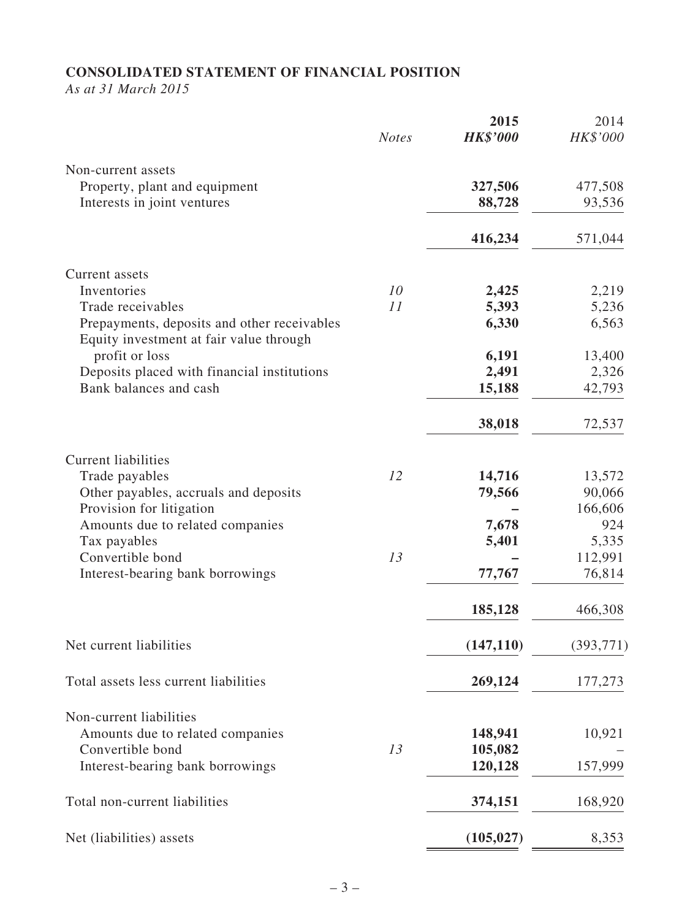# **CONSOLIDATED STATEMENT OF FINANCIAL POSITION**

*As at 31 March 2015*

|                                                                                        | <b>Notes</b> | 2015<br><b>HK\$'000</b> | 2014<br>HK\$'000 |
|----------------------------------------------------------------------------------------|--------------|-------------------------|------------------|
| Non-current assets                                                                     |              |                         |                  |
| Property, plant and equipment                                                          |              | 327,506                 | 477,508          |
| Interests in joint ventures                                                            |              | 88,728                  | 93,536           |
|                                                                                        |              | 416,234                 | 571,044          |
| Current assets                                                                         |              |                         |                  |
| Inventories                                                                            | 10           | 2,425                   | 2,219            |
| Trade receivables                                                                      | 11           | 5,393                   | 5,236            |
| Prepayments, deposits and other receivables<br>Equity investment at fair value through |              | 6,330                   | 6,563            |
| profit or loss                                                                         |              | 6,191                   | 13,400           |
| Deposits placed with financial institutions                                            |              | 2,491                   | 2,326            |
| Bank balances and cash                                                                 |              | 15,188                  | 42,793           |
|                                                                                        |              | 38,018                  | 72,537           |
| <b>Current liabilities</b>                                                             |              |                         |                  |
| Trade payables                                                                         | 12           | 14,716                  | 13,572           |
| Other payables, accruals and deposits                                                  |              | 79,566                  | 90,066           |
| Provision for litigation                                                               |              |                         | 166,606          |
| Amounts due to related companies                                                       |              | 7,678                   | 924              |
| Tax payables                                                                           |              | 5,401                   | 5,335            |
| Convertible bond                                                                       | 13           |                         | 112,991          |
| Interest-bearing bank borrowings                                                       |              | 77,767                  | 76,814           |
|                                                                                        |              | 185,128                 | 466,308          |
| Net current liabilities                                                                |              | (147, 110)              | (393, 771)       |
| Total assets less current liabilities                                                  |              | 269,124                 | 177,273          |
| Non-current liabilities                                                                |              |                         |                  |
| Amounts due to related companies                                                       |              | 148,941                 | 10,921           |
| Convertible bond                                                                       | 13           | 105,082                 |                  |
| Interest-bearing bank borrowings                                                       |              | 120,128                 | 157,999          |
| Total non-current liabilities                                                          |              | 374,151                 | 168,920          |
| Net (liabilities) assets                                                               |              | (105, 027)              | 8,353            |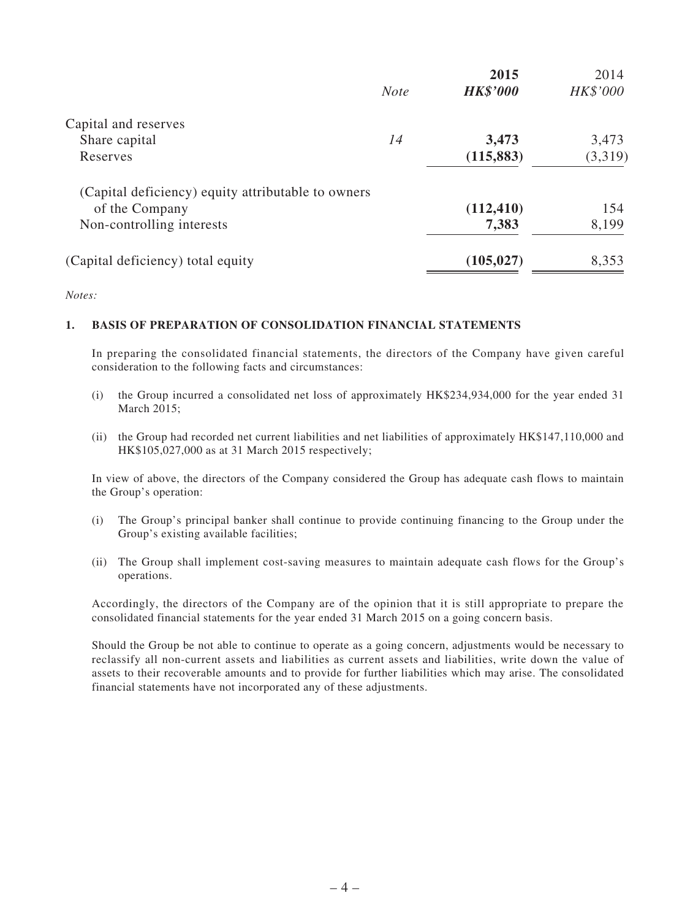|             | 2015                                               | 2014     |
|-------------|----------------------------------------------------|----------|
| <b>Note</b> | <b>HK\$'000</b>                                    | HK\$'000 |
|             |                                                    |          |
| 14          | 3,473                                              | 3,473    |
|             | (115, 883)                                         | (3,319)  |
|             |                                                    |          |
|             | (112, 410)                                         | 154      |
|             | 7,383                                              | 8,199    |
|             | (105, 027)                                         | 8,353    |
|             | (Capital deficiency) equity attributable to owners |          |

*Notes:*

### **1. BASIS OF PREPARATION OF CONSOLIDATION FINANCIAL STATEMENTS**

In preparing the consolidated financial statements, the directors of the Company have given careful consideration to the following facts and circumstances:

- (i) the Group incurred a consolidated net loss of approximately HK\$234,934,000 for the year ended 31 March 2015;
- (ii) the Group had recorded net current liabilities and net liabilities of approximately HK\$147,110,000 and HK\$105,027,000 as at 31 March 2015 respectively;

In view of above, the directors of the Company considered the Group has adequate cash flows to maintain the Group's operation:

- (i) The Group's principal banker shall continue to provide continuing financing to the Group under the Group's existing available facilities;
- (ii) The Group shall implement cost-saving measures to maintain adequate cash flows for the Group's operations.

Accordingly, the directors of the Company are of the opinion that it is still appropriate to prepare the consolidated financial statements for the year ended 31 March 2015 on a going concern basis.

Should the Group be not able to continue to operate as a going concern, adjustments would be necessary to reclassify all non-current assets and liabilities as current assets and liabilities, write down the value of assets to their recoverable amounts and to provide for further liabilities which may arise. The consolidated financial statements have not incorporated any of these adjustments.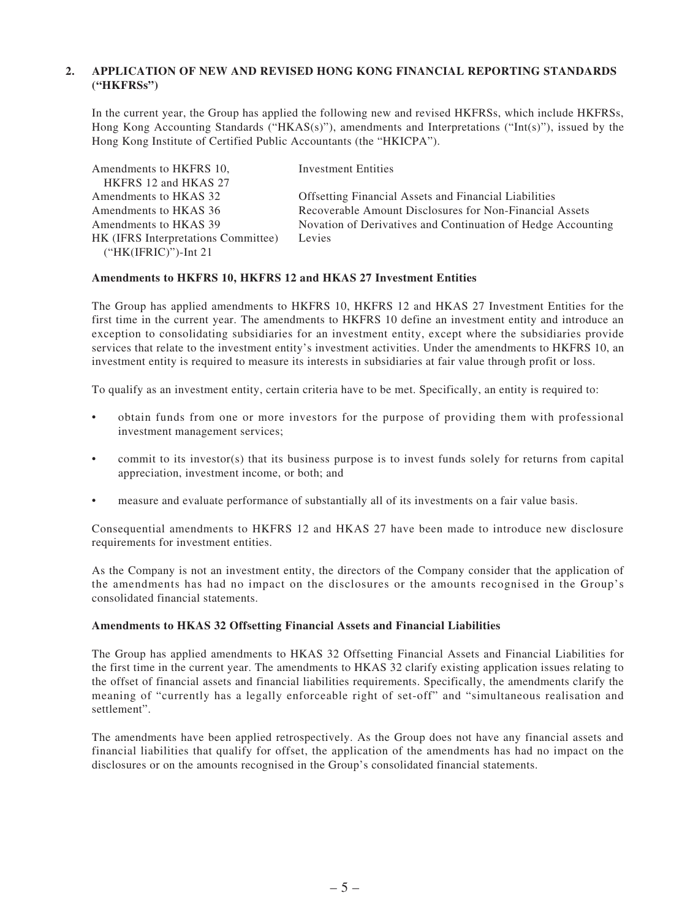### **2. APPLICATION OF NEW AND REVISED HONG KONG FINANCIAL REPORTING STANDARDS ("HKFRSs")**

In the current year, the Group has applied the following new and revised HKFRSs, which include HKFRSs, Hong Kong Accounting Standards ("HKAS(s)"), amendments and Interpretations ("Int(s)"), issued by the Hong Kong Institute of Certified Public Accountants (the "HKICPA").

| Amendments to HKFRS 10.             | <b>Investment Entities</b>                                   |
|-------------------------------------|--------------------------------------------------------------|
| HKFRS 12 and HKAS 27                |                                                              |
| Amendments to HKAS 32               | <b>Offsetting Financial Assets and Financial Liabilities</b> |
| Amendments to HKAS 36               | Recoverable Amount Disclosures for Non-Financial Assets      |
| Amendments to HKAS 39               | Novation of Derivatives and Continuation of Hedge Accounting |
| HK (IFRS Interpretations Committee) | Levies                                                       |
| $("HK(IFRIC)")$ -Int 21             |                                                              |

### **Amendments to HKFRS 10, HKFRS 12 and HKAS 27 Investment Entities**

The Group has applied amendments to HKFRS 10, HKFRS 12 and HKAS 27 Investment Entities for the first time in the current year. The amendments to HKFRS 10 define an investment entity and introduce an exception to consolidating subsidiaries for an investment entity, except where the subsidiaries provide services that relate to the investment entity's investment activities. Under the amendments to HKFRS 10, an investment entity is required to measure its interests in subsidiaries at fair value through profit or loss.

To qualify as an investment entity, certain criteria have to be met. Specifically, an entity is required to:

- obtain funds from one or more investors for the purpose of providing them with professional investment management services;
- commit to its investor(s) that its business purpose is to invest funds solely for returns from capital appreciation, investment income, or both; and
- measure and evaluate performance of substantially all of its investments on a fair value basis.

Consequential amendments to HKFRS 12 and HKAS 27 have been made to introduce new disclosure requirements for investment entities.

As the Company is not an investment entity, the directors of the Company consider that the application of the amendments has had no impact on the disclosures or the amounts recognised in the Group's consolidated financial statements.

### **Amendments to HKAS 32 Offsetting Financial Assets and Financial Liabilities**

The Group has applied amendments to HKAS 32 Offsetting Financial Assets and Financial Liabilities for the first time in the current year. The amendments to HKAS 32 clarify existing application issues relating to the offset of financial assets and financial liabilities requirements. Specifically, the amendments clarify the meaning of "currently has a legally enforceable right of set-off" and "simultaneous realisation and settlement".

The amendments have been applied retrospectively. As the Group does not have any financial assets and financial liabilities that qualify for offset, the application of the amendments has had no impact on the disclosures or on the amounts recognised in the Group's consolidated financial statements.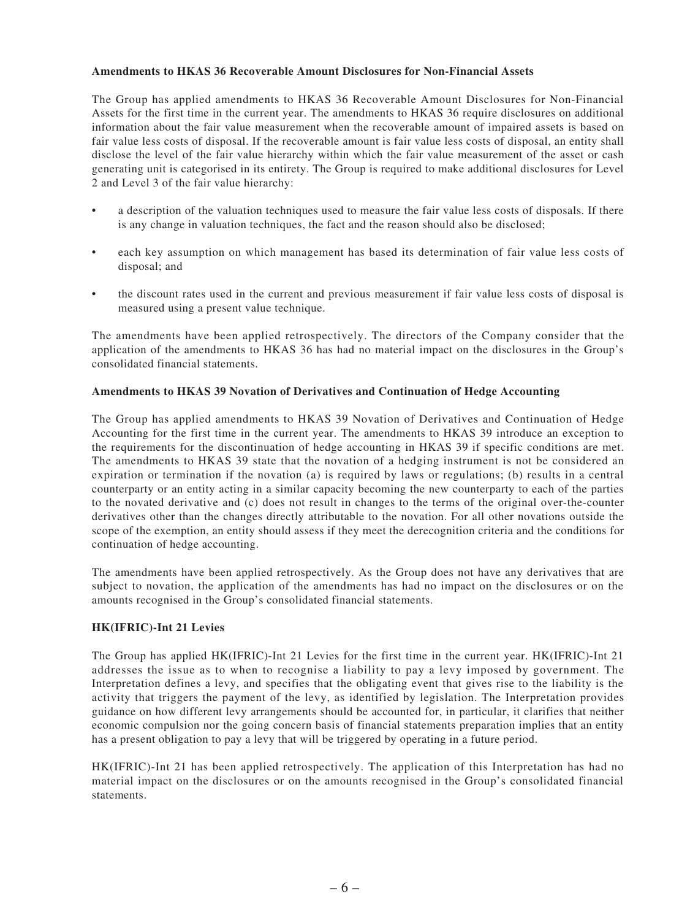### **Amendments to HKAS 36 Recoverable Amount Disclosures for Non-Financial Assets**

The Group has applied amendments to HKAS 36 Recoverable Amount Disclosures for Non-Financial Assets for the first time in the current year. The amendments to HKAS 36 require disclosures on additional information about the fair value measurement when the recoverable amount of impaired assets is based on fair value less costs of disposal. If the recoverable amount is fair value less costs of disposal, an entity shall disclose the level of the fair value hierarchy within which the fair value measurement of the asset or cash generating unit is categorised in its entirety. The Group is required to make additional disclosures for Level 2 and Level 3 of the fair value hierarchy:

- a description of the valuation techniques used to measure the fair value less costs of disposals. If there is any change in valuation techniques, the fact and the reason should also be disclosed;
- each key assumption on which management has based its determination of fair value less costs of disposal; and
- the discount rates used in the current and previous measurement if fair value less costs of disposal is measured using a present value technique.

The amendments have been applied retrospectively. The directors of the Company consider that the application of the amendments to HKAS 36 has had no material impact on the disclosures in the Group's consolidated financial statements.

### **Amendments to HKAS 39 Novation of Derivatives and Continuation of Hedge Accounting**

The Group has applied amendments to HKAS 39 Novation of Derivatives and Continuation of Hedge Accounting for the first time in the current year. The amendments to HKAS 39 introduce an exception to the requirements for the discontinuation of hedge accounting in HKAS 39 if specific conditions are met. The amendments to HKAS 39 state that the novation of a hedging instrument is not be considered an expiration or termination if the novation (a) is required by laws or regulations; (b) results in a central counterparty or an entity acting in a similar capacity becoming the new counterparty to each of the parties to the novated derivative and (c) does not result in changes to the terms of the original over-the-counter derivatives other than the changes directly attributable to the novation. For all other novations outside the scope of the exemption, an entity should assess if they meet the derecognition criteria and the conditions for continuation of hedge accounting.

The amendments have been applied retrospectively. As the Group does not have any derivatives that are subject to novation, the application of the amendments has had no impact on the disclosures or on the amounts recognised in the Group's consolidated financial statements.

#### **HK(IFRIC)-Int 21 Levies**

The Group has applied HK(IFRIC)-Int 21 Levies for the first time in the current year. HK(IFRIC)-Int 21 addresses the issue as to when to recognise a liability to pay a levy imposed by government. The Interpretation defines a levy, and specifies that the obligating event that gives rise to the liability is the activity that triggers the payment of the levy, as identified by legislation. The Interpretation provides guidance on how different levy arrangements should be accounted for, in particular, it clarifies that neither economic compulsion nor the going concern basis of financial statements preparation implies that an entity has a present obligation to pay a levy that will be triggered by operating in a future period.

HK(IFRIC)-Int 21 has been applied retrospectively. The application of this Interpretation has had no material impact on the disclosures or on the amounts recognised in the Group's consolidated financial statements.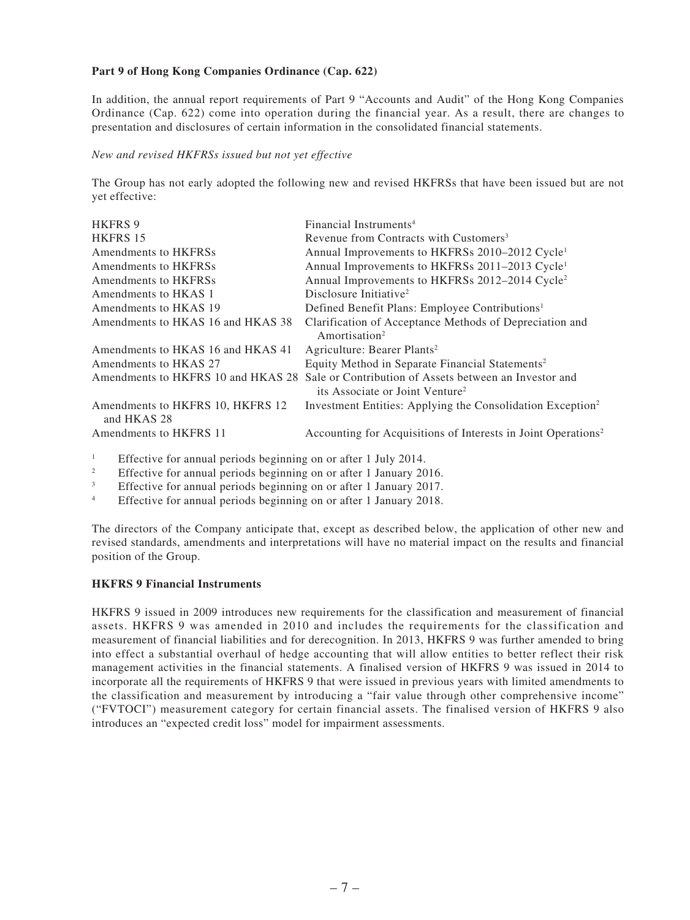### **Part 9 of Hong Kong Companies Ordinance (Cap. 622)**

In addition, the annual report requirements of Part 9 "Accounts and Audit" of the Hong Kong Companies Ordinance (Cap. 622) come into operation during the financial year. As a result, there are changes to presentation and disclosures of certain information in the consolidated financial statements.

### *New and revised HKFRSs issued but not yet effective*

The Group has not early adopted the following new and revised HKFRSs that have been issued but are not yet effective:

| <b>HKFRS 9</b>                                  | Financial Instruments <sup>4</sup>                                                                                                       |
|-------------------------------------------------|------------------------------------------------------------------------------------------------------------------------------------------|
| HKFRS 15                                        | Revenue from Contracts with Customers <sup>3</sup>                                                                                       |
| Amendments to HKFRSs                            | Annual Improvements to HKFRSs 2010–2012 Cycle <sup>1</sup>                                                                               |
| Amendments to HKFRSs                            | Annual Improvements to HKFRSs 2011-2013 Cycle <sup>1</sup>                                                                               |
| Amendments to HKFRSs                            | Annual Improvements to HKFRSs 2012-2014 Cycle <sup>2</sup>                                                                               |
| Amendments to HKAS 1                            | Disclosure Initiative <sup>2</sup>                                                                                                       |
| Amendments to HKAS 19                           | Defined Benefit Plans: Employee Contributions <sup>1</sup>                                                                               |
| Amendments to HKAS 16 and HKAS 38               | Clarification of Acceptance Methods of Depreciation and                                                                                  |
|                                                 | Amortisation <sup>2</sup>                                                                                                                |
| Amendments to HKAS 16 and HKAS 41               | Agriculture: Bearer Plants <sup>2</sup>                                                                                                  |
| Amendments to HKAS 27                           | Equity Method in Separate Financial Statements <sup>2</sup>                                                                              |
|                                                 | Amendments to HKFRS 10 and HKAS 28 Sale or Contribution of Assets between an Investor and<br>its Associate or Joint Venture <sup>2</sup> |
| Amendments to HKFRS 10, HKFRS 12<br>and HKAS 28 | Investment Entities: Applying the Consolidation Exception <sup>2</sup>                                                                   |
| Amendments to HKFRS 11                          | Accounting for Acquisitions of Interests in Joint Operations <sup>2</sup>                                                                |

<sup>1</sup> Effective for annual periods beginning on or after 1 July 2014.

<sup>2</sup> Effective for annual periods beginning on or after 1 January 2016.<br>**Effective** for annual periods beginning on or after 1 January 2017

<sup>3</sup> Effective for annual periods beginning on or after 1 January 2017.

<sup>4</sup> Effective for annual periods beginning on or after 1 January 2018.

The directors of the Company anticipate that, except as described below, the application of other new and revised standards, amendments and interpretations will have no material impact on the results and financial position of the Group.

### **HKFRS 9 Financial Instruments**

HKFRS 9 issued in 2009 introduces new requirements for the classification and measurement of financial assets. HKFRS 9 was amended in 2010 and includes the requirements for the classification and measurement of financial liabilities and for derecognition. In 2013, HKFRS 9 was further amended to bring into effect a substantial overhaul of hedge accounting that will allow entities to better reflect their risk management activities in the financial statements. A finalised version of HKFRS 9 was issued in 2014 to incorporate all the requirements of HKFRS 9 that were issued in previous years with limited amendments to the classification and measurement by introducing a "fair value through other comprehensive income" ("FVTOCI") measurement category for certain financial assets. The finalised version of HKFRS 9 also introduces an "expected credit loss" model for impairment assessments.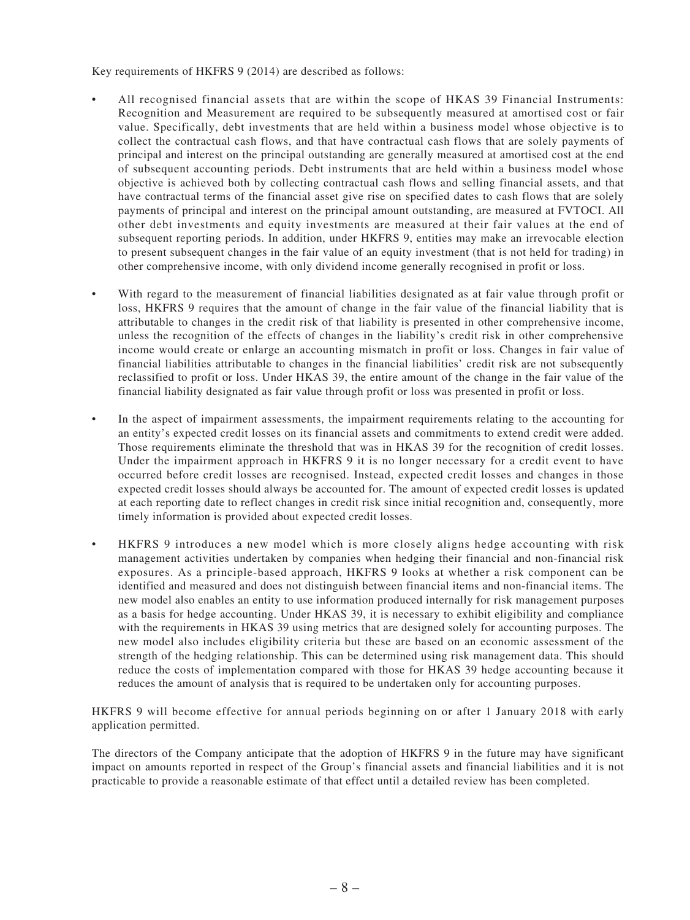Key requirements of HKFRS 9 (2014) are described as follows:

- All recognised financial assets that are within the scope of HKAS 39 Financial Instruments: Recognition and Measurement are required to be subsequently measured at amortised cost or fair value. Specifically, debt investments that are held within a business model whose objective is to collect the contractual cash flows, and that have contractual cash flows that are solely payments of principal and interest on the principal outstanding are generally measured at amortised cost at the end of subsequent accounting periods. Debt instruments that are held within a business model whose objective is achieved both by collecting contractual cash flows and selling financial assets, and that have contractual terms of the financial asset give rise on specified dates to cash flows that are solely payments of principal and interest on the principal amount outstanding, are measured at FVTOCI. All other debt investments and equity investments are measured at their fair values at the end of subsequent reporting periods. In addition, under HKFRS 9, entities may make an irrevocable election to present subsequent changes in the fair value of an equity investment (that is not held for trading) in other comprehensive income, with only dividend income generally recognised in profit or loss.
- With regard to the measurement of financial liabilities designated as at fair value through profit or loss, HKFRS 9 requires that the amount of change in the fair value of the financial liability that is attributable to changes in the credit risk of that liability is presented in other comprehensive income, unless the recognition of the effects of changes in the liability's credit risk in other comprehensive income would create or enlarge an accounting mismatch in profit or loss. Changes in fair value of financial liabilities attributable to changes in the financial liabilities' credit risk are not subsequently reclassified to profit or loss. Under HKAS 39, the entire amount of the change in the fair value of the financial liability designated as fair value through profit or loss was presented in profit or loss.
- In the aspect of impairment assessments, the impairment requirements relating to the accounting for an entity's expected credit losses on its financial assets and commitments to extend credit were added. Those requirements eliminate the threshold that was in HKAS 39 for the recognition of credit losses. Under the impairment approach in HKFRS 9 it is no longer necessary for a credit event to have occurred before credit losses are recognised. Instead, expected credit losses and changes in those expected credit losses should always be accounted for. The amount of expected credit losses is updated at each reporting date to reflect changes in credit risk since initial recognition and, consequently, more timely information is provided about expected credit losses.
- HKFRS 9 introduces a new model which is more closely aligns hedge accounting with risk management activities undertaken by companies when hedging their financial and non-financial risk exposures. As a principle-based approach, HKFRS 9 looks at whether a risk component can be identified and measured and does not distinguish between financial items and non-financial items. The new model also enables an entity to use information produced internally for risk management purposes as a basis for hedge accounting. Under HKAS 39, it is necessary to exhibit eligibility and compliance with the requirements in HKAS 39 using metrics that are designed solely for accounting purposes. The new model also includes eligibility criteria but these are based on an economic assessment of the strength of the hedging relationship. This can be determined using risk management data. This should reduce the costs of implementation compared with those for HKAS 39 hedge accounting because it reduces the amount of analysis that is required to be undertaken only for accounting purposes.

HKFRS 9 will become effective for annual periods beginning on or after 1 January 2018 with early application permitted.

The directors of the Company anticipate that the adoption of HKFRS 9 in the future may have significant impact on amounts reported in respect of the Group's financial assets and financial liabilities and it is not practicable to provide a reasonable estimate of that effect until a detailed review has been completed.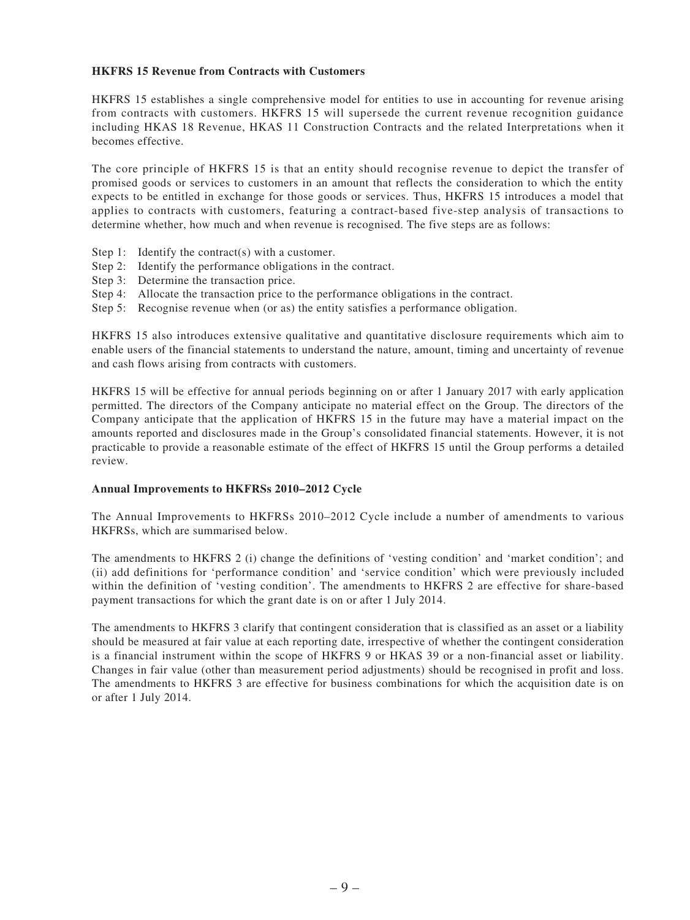### **HKFRS 15 Revenue from Contracts with Customers**

HKFRS 15 establishes a single comprehensive model for entities to use in accounting for revenue arising from contracts with customers. HKFRS 15 will supersede the current revenue recognition guidance including HKAS 18 Revenue, HKAS 11 Construction Contracts and the related Interpretations when it becomes effective.

The core principle of HKFRS 15 is that an entity should recognise revenue to depict the transfer of promised goods or services to customers in an amount that reflects the consideration to which the entity expects to be entitled in exchange for those goods or services. Thus, HKFRS 15 introduces a model that applies to contracts with customers, featuring a contract-based five-step analysis of transactions to determine whether, how much and when revenue is recognised. The five steps are as follows:

- Step 1: Identify the contract(s) with a customer.
- Step 2: Identify the performance obligations in the contract.
- Step 3: Determine the transaction price.
- Step 4: Allocate the transaction price to the performance obligations in the contract.
- Step 5: Recognise revenue when (or as) the entity satisfies a performance obligation.

HKFRS 15 also introduces extensive qualitative and quantitative disclosure requirements which aim to enable users of the financial statements to understand the nature, amount, timing and uncertainty of revenue and cash flows arising from contracts with customers.

HKFRS 15 will be effective for annual periods beginning on or after 1 January 2017 with early application permitted. The directors of the Company anticipate no material effect on the Group. The directors of the Company anticipate that the application of HKFRS 15 in the future may have a material impact on the amounts reported and disclosures made in the Group's consolidated financial statements. However, it is not practicable to provide a reasonable estimate of the effect of HKFRS 15 until the Group performs a detailed review.

#### **Annual Improvements to HKFRSs 2010–2012 Cycle**

The Annual Improvements to HKFRSs 2010–2012 Cycle include a number of amendments to various HKFRSs, which are summarised below.

The amendments to HKFRS 2 (i) change the definitions of 'vesting condition' and 'market condition'; and (ii) add definitions for 'performance condition' and 'service condition' which were previously included within the definition of 'vesting condition'. The amendments to HKFRS 2 are effective for share-based payment transactions for which the grant date is on or after 1 July 2014.

The amendments to HKFRS 3 clarify that contingent consideration that is classified as an asset or a liability should be measured at fair value at each reporting date, irrespective of whether the contingent consideration is a financial instrument within the scope of HKFRS 9 or HKAS 39 or a non-financial asset or liability. Changes in fair value (other than measurement period adjustments) should be recognised in profit and loss. The amendments to HKFRS 3 are effective for business combinations for which the acquisition date is on or after 1 July 2014.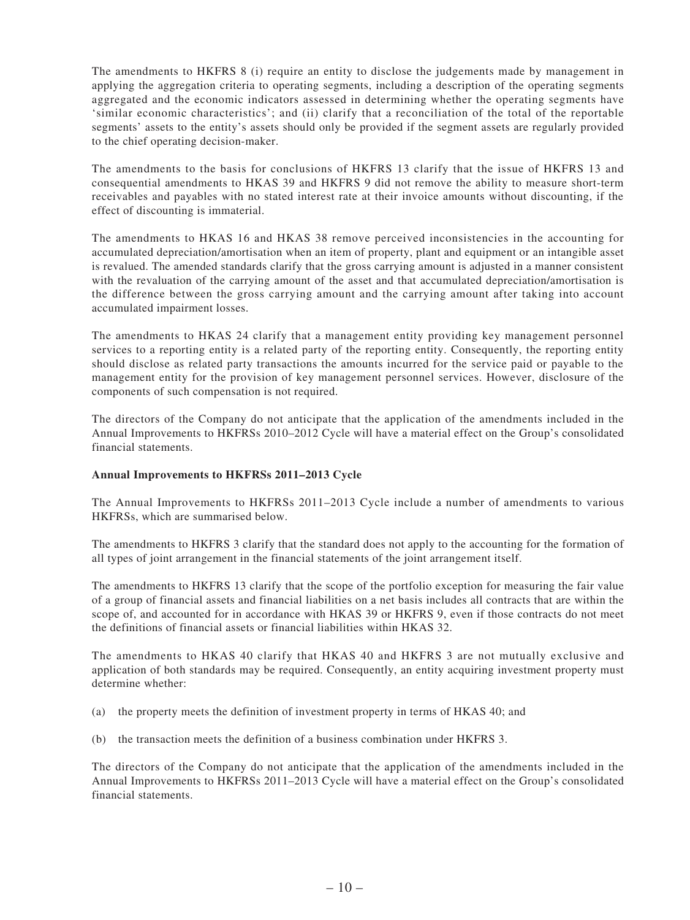The amendments to HKFRS 8 (i) require an entity to disclose the judgements made by management in applying the aggregation criteria to operating segments, including a description of the operating segments aggregated and the economic indicators assessed in determining whether the operating segments have 'similar economic characteristics'; and (ii) clarify that a reconciliation of the total of the reportable segments' assets to the entity's assets should only be provided if the segment assets are regularly provided to the chief operating decision-maker.

The amendments to the basis for conclusions of HKFRS 13 clarify that the issue of HKFRS 13 and consequential amendments to HKAS 39 and HKFRS 9 did not remove the ability to measure short-term receivables and payables with no stated interest rate at their invoice amounts without discounting, if the effect of discounting is immaterial.

The amendments to HKAS 16 and HKAS 38 remove perceived inconsistencies in the accounting for accumulated depreciation/amortisation when an item of property, plant and equipment or an intangible asset is revalued. The amended standards clarify that the gross carrying amount is adjusted in a manner consistent with the revaluation of the carrying amount of the asset and that accumulated depreciation/amortisation is the difference between the gross carrying amount and the carrying amount after taking into account accumulated impairment losses.

The amendments to HKAS 24 clarify that a management entity providing key management personnel services to a reporting entity is a related party of the reporting entity. Consequently, the reporting entity should disclose as related party transactions the amounts incurred for the service paid or payable to the management entity for the provision of key management personnel services. However, disclosure of the components of such compensation is not required.

The directors of the Company do not anticipate that the application of the amendments included in the Annual Improvements to HKFRSs 2010–2012 Cycle will have a material effect on the Group's consolidated financial statements.

### **Annual Improvements to HKFRSs 2011–2013 Cycle**

The Annual Improvements to HKFRSs 2011–2013 Cycle include a number of amendments to various HKFRSs, which are summarised below.

The amendments to HKFRS 3 clarify that the standard does not apply to the accounting for the formation of all types of joint arrangement in the financial statements of the joint arrangement itself.

The amendments to HKFRS 13 clarify that the scope of the portfolio exception for measuring the fair value of a group of financial assets and financial liabilities on a net basis includes all contracts that are within the scope of, and accounted for in accordance with HKAS 39 or HKFRS 9, even if those contracts do not meet the definitions of financial assets or financial liabilities within HKAS 32.

The amendments to HKAS 40 clarify that HKAS 40 and HKFRS 3 are not mutually exclusive and application of both standards may be required. Consequently, an entity acquiring investment property must determine whether:

- (a) the property meets the definition of investment property in terms of HKAS 40; and
- (b) the transaction meets the definition of a business combination under HKFRS 3.

The directors of the Company do not anticipate that the application of the amendments included in the Annual Improvements to HKFRSs 2011–2013 Cycle will have a material effect on the Group's consolidated financial statements.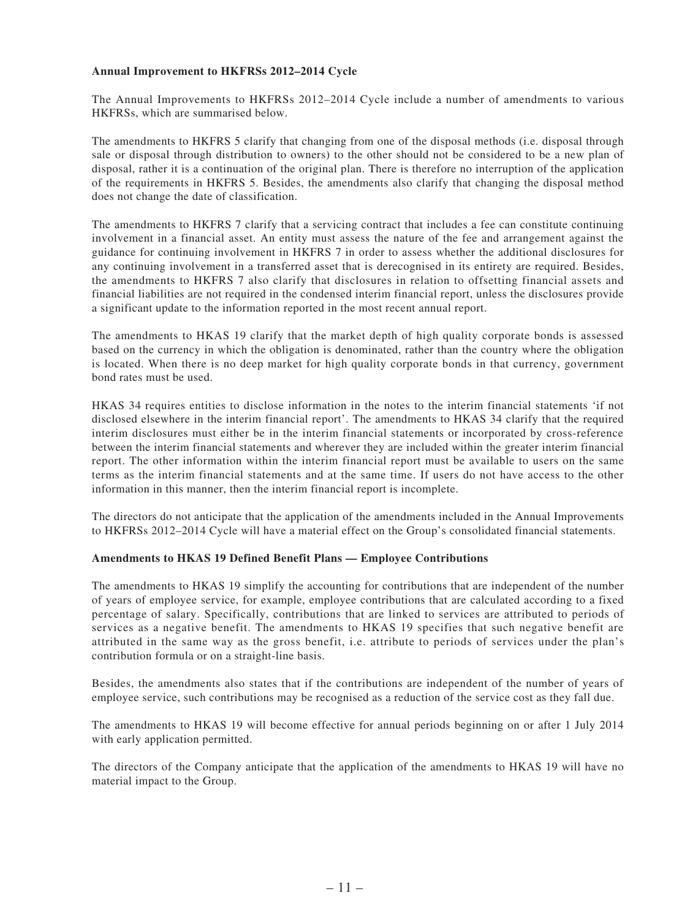### **Annual Improvement to HKFRSs 2012–2014 Cycle**

The Annual Improvements to HKFRSs 2012–2014 Cycle include a number of amendments to various HKFRSs, which are summarised below.

The amendments to HKFRS 5 clarify that changing from one of the disposal methods (i.e. disposal through sale or disposal through distribution to owners) to the other should not be considered to be a new plan of disposal, rather it is a continuation of the original plan. There is therefore no interruption of the application of the requirements in HKFRS 5. Besides, the amendments also clarify that changing the disposal method does not change the date of classification.

The amendments to HKFRS 7 clarify that a servicing contract that includes a fee can constitute continuing involvement in a financial asset. An entity must assess the nature of the fee and arrangement against the guidance for continuing involvement in HKFRS 7 in order to assess whether the additional disclosures for any continuing involvement in a transferred asset that is derecognised in its entirety are required. Besides, the amendments to HKFRS 7 also clarify that disclosures in relation to offsetting financial assets and financial liabilities are not required in the condensed interim financial report, unless the disclosures provide a significant update to the information reported in the most recent annual report.

The amendments to HKAS 19 clarify that the market depth of high quality corporate bonds is assessed based on the currency in which the obligation is denominated, rather than the country where the obligation is located. When there is no deep market for high quality corporate bonds in that currency, government bond rates must be used.

HKAS 34 requires entities to disclose information in the notes to the interim financial statements 'if not disclosed elsewhere in the interim financial report'. The amendments to HKAS 34 clarify that the required interim disclosures must either be in the interim financial statements or incorporated by cross-reference between the interim financial statements and wherever they are included within the greater interim financial report. The other information within the interim financial report must be available to users on the same terms as the interim financial statements and at the same time. If users do not have access to the other information in this manner, then the interim financial report is incomplete.

The directors do not anticipate that the application of the amendments included in the Annual Improvements to HKFRSs 2012–2014 Cycle will have a material effect on the Group's consolidated financial statements.

### **Amendments to HKAS 19 Defined Benefit Plans — Employee Contributions**

The amendments to HKAS 19 simplify the accounting for contributions that are independent of the number of years of employee service, for example, employee contributions that are calculated according to a fixed percentage of salary. Specifically, contributions that are linked to services are attributed to periods of services as a negative benefit. The amendments to HKAS 19 specifies that such negative benefit are attributed in the same way as the gross benefit, i.e. attribute to periods of services under the plan's contribution formula or on a straight-line basis.

Besides, the amendments also states that if the contributions are independent of the number of years of employee service, such contributions may be recognised as a reduction of the service cost as they fall due.

The amendments to HKAS 19 will become effective for annual periods beginning on or after 1 July 2014 with early application permitted.

The directors of the Company anticipate that the application of the amendments to HKAS 19 will have no material impact to the Group.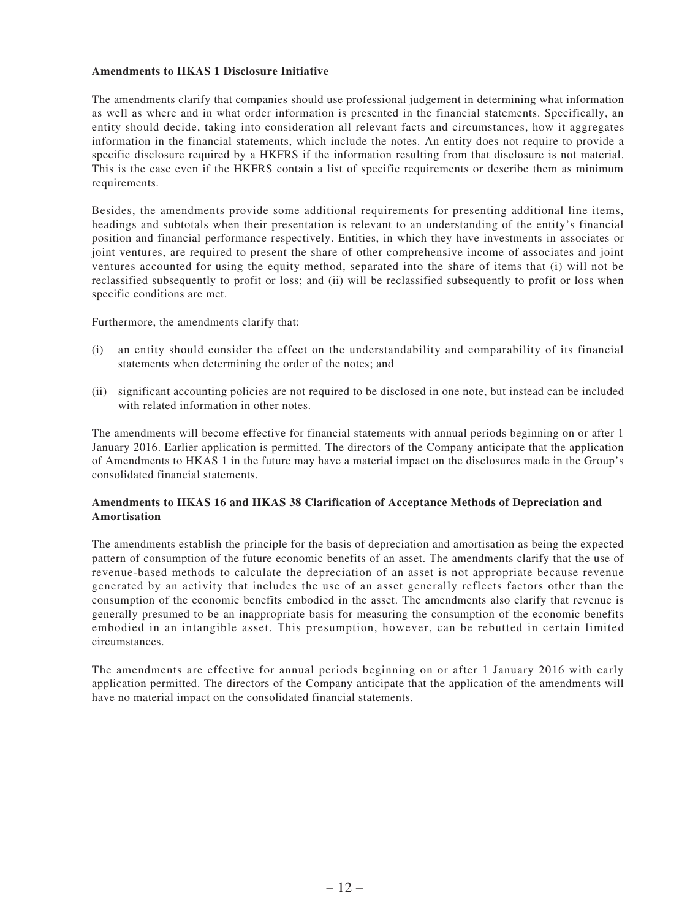### **Amendments to HKAS 1 Disclosure Initiative**

The amendments clarify that companies should use professional judgement in determining what information as well as where and in what order information is presented in the financial statements. Specifically, an entity should decide, taking into consideration all relevant facts and circumstances, how it aggregates information in the financial statements, which include the notes. An entity does not require to provide a specific disclosure required by a HKFRS if the information resulting from that disclosure is not material. This is the case even if the HKFRS contain a list of specific requirements or describe them as minimum requirements.

Besides, the amendments provide some additional requirements for presenting additional line items, headings and subtotals when their presentation is relevant to an understanding of the entity's financial position and financial performance respectively. Entities, in which they have investments in associates or joint ventures, are required to present the share of other comprehensive income of associates and joint ventures accounted for using the equity method, separated into the share of items that (i) will not be reclassified subsequently to profit or loss; and (ii) will be reclassified subsequently to profit or loss when specific conditions are met.

Furthermore, the amendments clarify that:

- (i) an entity should consider the effect on the understandability and comparability of its financial statements when determining the order of the notes; and
- (ii) significant accounting policies are not required to be disclosed in one note, but instead can be included with related information in other notes.

The amendments will become effective for financial statements with annual periods beginning on or after 1 January 2016. Earlier application is permitted. The directors of the Company anticipate that the application of Amendments to HKAS 1 in the future may have a material impact on the disclosures made in the Group's consolidated financial statements.

### **Amendments to HKAS 16 and HKAS 38 Clarification of Acceptance Methods of Depreciation and Amortisation**

The amendments establish the principle for the basis of depreciation and amortisation as being the expected pattern of consumption of the future economic benefits of an asset. The amendments clarify that the use of revenue-based methods to calculate the depreciation of an asset is not appropriate because revenue generated by an activity that includes the use of an asset generally reflects factors other than the consumption of the economic benefits embodied in the asset. The amendments also clarify that revenue is generally presumed to be an inappropriate basis for measuring the consumption of the economic benefits embodied in an intangible asset. This presumption, however, can be rebutted in certain limited circumstances.

The amendments are effective for annual periods beginning on or after 1 January 2016 with early application permitted. The directors of the Company anticipate that the application of the amendments will have no material impact on the consolidated financial statements.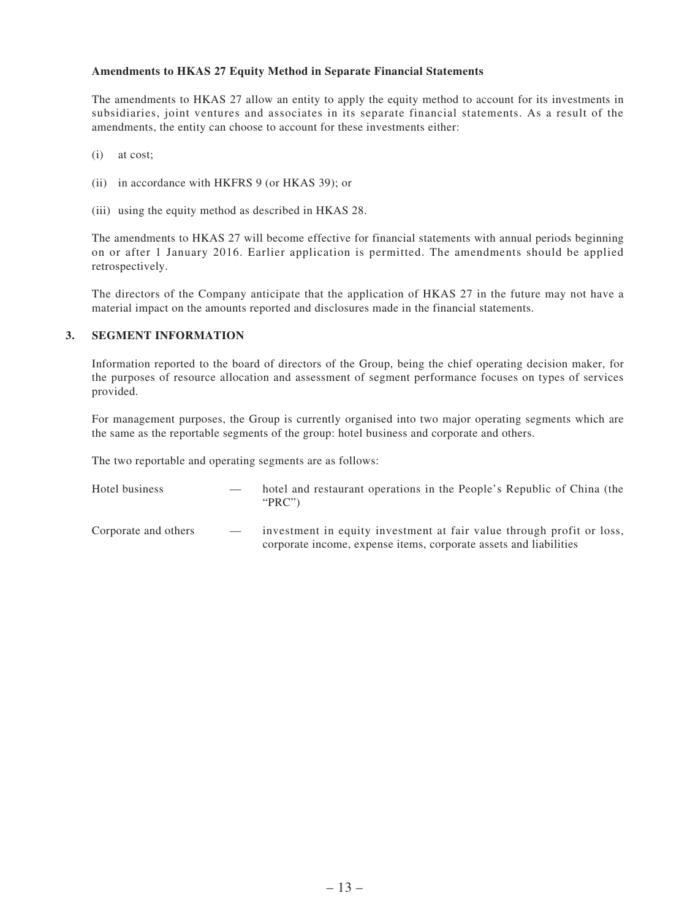### **Amendments to HKAS 27 Equity Method in Separate Financial Statements**

The amendments to HKAS 27 allow an entity to apply the equity method to account for its investments in subsidiaries, joint ventures and associates in its separate financial statements. As a result of the amendments, the entity can choose to account for these investments either:

- (i) at cost;
- (ii) in accordance with HKFRS 9 (or HKAS 39); or
- (iii) using the equity method as described in HKAS 28.

The amendments to HKAS 27 will become effective for financial statements with annual periods beginning on or after 1 January 2016. Earlier application is permitted. The amendments should be applied retrospectively.

The directors of the Company anticipate that the application of HKAS 27 in the future may not have a material impact on the amounts reported and disclosures made in the financial statements.

### **3. SEGMENT INFORMATION**

Information reported to the board of directors of the Group, being the chief operating decision maker, for the purposes of resource allocation and assessment of segment performance focuses on types of services provided.

For management purposes, the Group is currently organised into two major operating segments which are the same as the reportable segments of the group: hotel business and corporate and others.

The two reportable and operating segments are as follows:

| Hotel business       |                          | hotel and restaurant operations in the People's Republic of China (the<br>" $PRC$ "                                                        |
|----------------------|--------------------------|--------------------------------------------------------------------------------------------------------------------------------------------|
| Corporate and others | $\overline{\phantom{a}}$ | investment in equity investment at fair value through profit or loss,<br>corporate income, expense items, corporate assets and liabilities |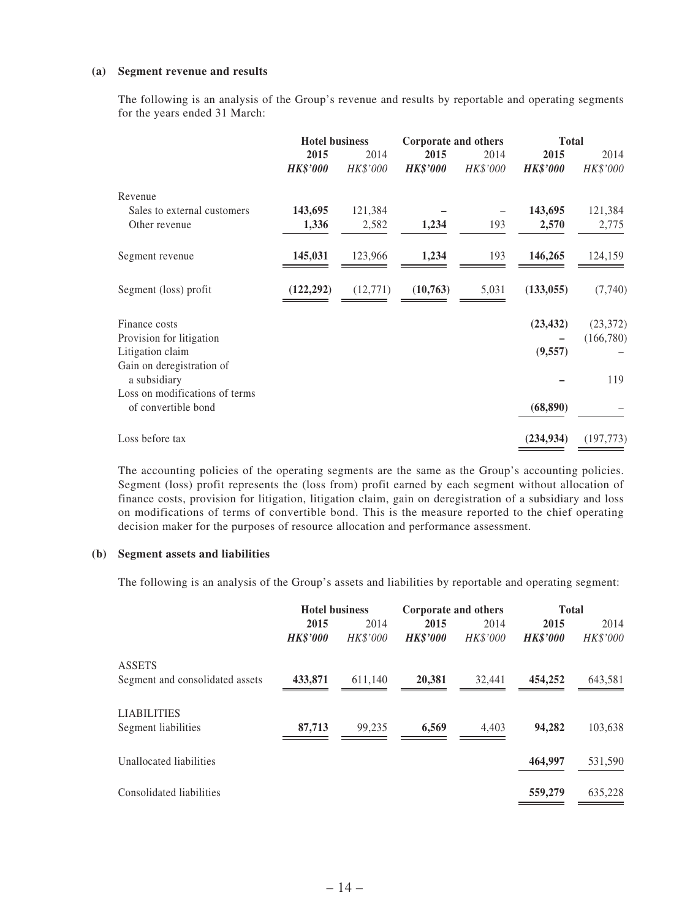### **(a) Segment revenue and results**

The following is an analysis of the Group's revenue and results by reportable and operating segments for the years ended 31 March:

|                                           | <b>Hotel business</b> |           | Corporate and others |          | <b>Total</b>    |            |
|-------------------------------------------|-----------------------|-----------|----------------------|----------|-----------------|------------|
|                                           | 2015                  | 2014      | 2015                 | 2014     | 2015            | 2014       |
|                                           | <b>HK\$'000</b>       | HK\$'000  | <b>HK\$'000</b>      | HK\$'000 | <b>HK\$'000</b> | HK\$'000   |
| Revenue                                   |                       |           |                      |          |                 |            |
| Sales to external customers               | 143,695               | 121,384   |                      |          | 143,695         | 121,384    |
| Other revenue                             | 1,336                 | 2,582     | 1,234                | 193      | 2,570           | 2,775      |
| Segment revenue                           | 145,031               | 123,966   | 1,234                | 193      | 146,265         | 124,159    |
| Segment (loss) profit                     | (122, 292)            | (12, 771) | (10,763)             | 5,031    | (133, 055)      | (7,740)    |
| Finance costs                             |                       |           |                      |          | (23, 432)       | (23, 372)  |
| Provision for litigation                  |                       |           |                      |          |                 | (166,780)  |
| Litigation claim                          |                       |           |                      |          | (9, 557)        |            |
| Gain on deregistration of<br>a subsidiary |                       |           |                      |          |                 | 119        |
| Loss on modifications of terms            |                       |           |                      |          |                 |            |
| of convertible bond                       |                       |           |                      |          | (68, 890)       |            |
| Loss before tax                           |                       |           |                      |          | (234, 934)      | (197, 773) |

The accounting policies of the operating segments are the same as the Group's accounting policies. Segment (loss) profit represents the (loss from) profit earned by each segment without allocation of finance costs, provision for litigation, litigation claim, gain on deregistration of a subsidiary and loss on modifications of terms of convertible bond. This is the measure reported to the chief operating decision maker for the purposes of resource allocation and performance assessment.

### **(b) Segment assets and liabilities**

The following is an analysis of the Group's assets and liabilities by reportable and operating segment:

|                                 | <b>Hotel business</b>   |                         |                         | Corporate and others |                         | <b>Total</b>     |  |
|---------------------------------|-------------------------|-------------------------|-------------------------|----------------------|-------------------------|------------------|--|
|                                 | 2015<br><b>HK\$'000</b> | 2014<br><b>HK\$'000</b> | 2015<br><b>HK\$'000</b> | 2014<br>HK\$'000     | 2015<br><b>HK\$'000</b> | 2014<br>HK\$'000 |  |
| <b>ASSETS</b>                   |                         |                         |                         |                      |                         |                  |  |
| Segment and consolidated assets | 433,871                 | 611,140                 | 20,381                  | 32,441               | 454,252                 | 643,581          |  |
| <b>LIABILITIES</b>              |                         |                         |                         |                      |                         |                  |  |
| Segment liabilities             | 87,713                  | 99,235                  | 6,569                   | 4,403                | 94,282                  | 103,638          |  |
| Unallocated liabilities         |                         |                         |                         |                      | 464,997                 | 531,590          |  |
| Consolidated liabilities        |                         |                         |                         |                      | 559,279                 | 635,228          |  |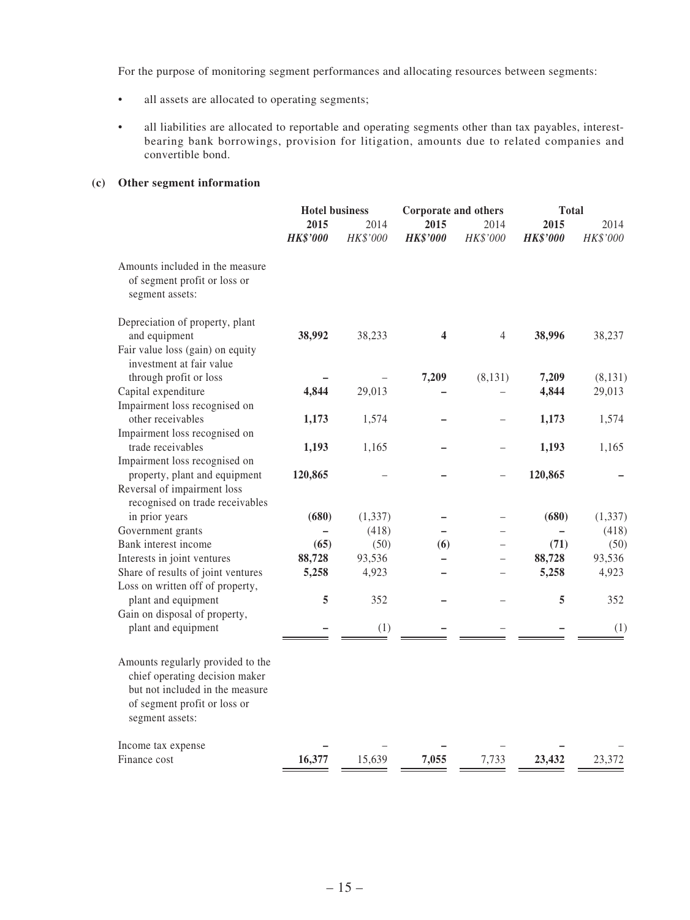For the purpose of monitoring segment performances and allocating resources between segments:

- all assets are allocated to operating segments;
- • all liabilities are allocated to reportable and operating segments other than tax payables, interestbearing bank borrowings, provision for litigation, amounts due to related companies and convertible bond.

### **(c) Other segment information**

|                                                                                                                                                           |                 | <b>Hotel business</b><br>Corporate and others |                 |          |                 | <b>Total</b> |
|-----------------------------------------------------------------------------------------------------------------------------------------------------------|-----------------|-----------------------------------------------|-----------------|----------|-----------------|--------------|
|                                                                                                                                                           | 2015            | 2014                                          | 2015            | 2014     | 2015            | 2014         |
|                                                                                                                                                           | <b>HK\$'000</b> | HK\$'000                                      | <b>HK\$'000</b> | HK\$'000 | <b>HK\$'000</b> | HK\$'000     |
| Amounts included in the measure<br>of segment profit or loss or<br>segment assets:                                                                        |                 |                                               |                 |          |                 |              |
| Depreciation of property, plant<br>and equipment<br>Fair value loss (gain) on equity                                                                      | 38,992          | 38,233                                        | 4               | 4        | 38,996          | 38,237       |
| investment at fair value                                                                                                                                  |                 |                                               |                 |          |                 |              |
| through profit or loss                                                                                                                                    |                 |                                               | 7,209           | (8, 131) | 7,209           | (8, 131)     |
| Capital expenditure                                                                                                                                       | 4,844           | 29,013                                        |                 |          | 4,844           | 29,013       |
| Impairment loss recognised on                                                                                                                             |                 |                                               |                 |          |                 |              |
| other receivables                                                                                                                                         | 1,173           | 1,574                                         |                 |          | 1,173           | 1,574        |
| Impairment loss recognised on                                                                                                                             |                 |                                               |                 |          |                 |              |
| trade receivables                                                                                                                                         | 1,193           | 1,165                                         |                 |          | 1,193           | 1,165        |
| Impairment loss recognised on                                                                                                                             |                 |                                               |                 |          |                 |              |
| property, plant and equipment                                                                                                                             | 120,865         |                                               |                 |          | 120,865         |              |
| Reversal of impairment loss<br>recognised on trade receivables                                                                                            |                 |                                               |                 |          |                 |              |
| in prior years                                                                                                                                            | (680)           | (1, 337)                                      |                 |          | (680)           | (1, 337)     |
| Government grants                                                                                                                                         |                 | (418)                                         |                 |          |                 | (418)        |
| Bank interest income                                                                                                                                      | (65)            | (50)                                          | (6)             |          | (71)            | (50)         |
| Interests in joint ventures                                                                                                                               | 88,728          | 93,536                                        |                 |          | 88,728          | 93,536       |
| Share of results of joint ventures                                                                                                                        | 5,258           | 4,923                                         |                 |          | 5,258           | 4,923        |
| Loss on written off of property,                                                                                                                          |                 |                                               |                 |          |                 |              |
| plant and equipment                                                                                                                                       | 5               | 352                                           |                 |          | 5               | 352          |
| Gain on disposal of property,                                                                                                                             |                 |                                               |                 |          |                 |              |
| plant and equipment                                                                                                                                       |                 | (1)                                           |                 |          |                 | (1)          |
| Amounts regularly provided to the<br>chief operating decision maker<br>but not included in the measure<br>of segment profit or loss or<br>segment assets: |                 |                                               |                 |          |                 |              |
| Income tax expense<br>Finance cost                                                                                                                        | 16,377          | 15,639                                        | 7,055           | 7,733    | 23,432          | 23,372       |
|                                                                                                                                                           |                 |                                               |                 |          |                 |              |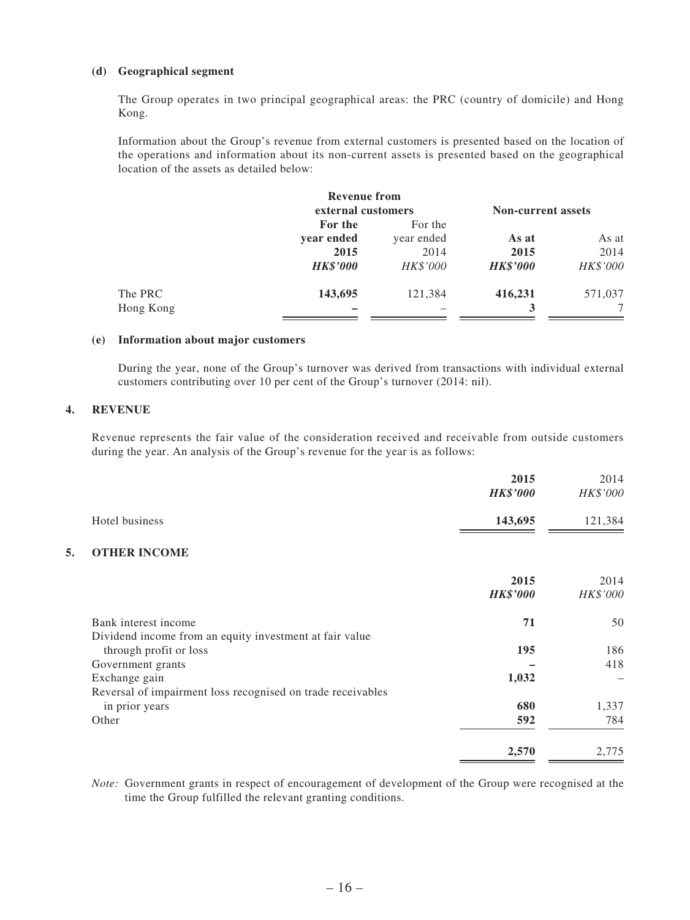### **(d) Geographical segment**

The Group operates in two principal geographical areas: the PRC (country of domicile) and Hong Kong.

Information about the Group's revenue from external customers is presented based on the location of the operations and information about its non-current assets is presented based on the geographical location of the assets as detailed below:

|           | <b>Revenue from</b> |            |                           |          |
|-----------|---------------------|------------|---------------------------|----------|
|           | external customers  |            | <b>Non-current assets</b> |          |
|           | For the             | For the    |                           |          |
|           | year ended          | year ended | As at                     | As at    |
|           | 2015                | 2014       | 2015                      | 2014     |
|           | <b>HK\$'000</b>     | HK\$'000   | <b>HK\$'000</b>           | HK\$'000 |
| The PRC   | 143,695             | 121,384    | 416,231                   | 571,037  |
| Hong Kong |                     |            |                           |          |

### **(e) Information about major customers**

During the year, none of the Group's turnover was derived from transactions with individual external customers contributing over 10 per cent of the Group's turnover (2014: nil).

### **4. REVENUE**

Revenue represents the fair value of the consideration received and receivable from outside customers during the year. An analysis of the Group's revenue for the year is as follows:

|    |                                                             | 2015            | 2014     |
|----|-------------------------------------------------------------|-----------------|----------|
|    |                                                             | <b>HK\$'000</b> | HK\$'000 |
|    | Hotel business                                              | 143,695         | 121,384  |
| 5. | <b>OTHER INCOME</b>                                         |                 |          |
|    |                                                             | 2015            | 2014     |
|    |                                                             | <b>HK\$'000</b> | HK\$'000 |
|    | Bank interest income                                        | 71              | 50       |
|    | Dividend income from an equity investment at fair value     |                 |          |
|    | through profit or loss                                      | 195             | 186      |
|    | Government grants                                           |                 | 418      |
|    | Exchange gain                                               | 1,032           |          |
|    | Reversal of impairment loss recognised on trade receivables |                 |          |
|    | in prior years                                              | 680             | 1,337    |
|    | Other                                                       | 592             | 784      |
|    |                                                             | 2,570           | 2,775    |
|    |                                                             |                 |          |

*Note:* Government grants in respect of encouragement of development of the Group were recognised at the time the Group fulfilled the relevant granting conditions.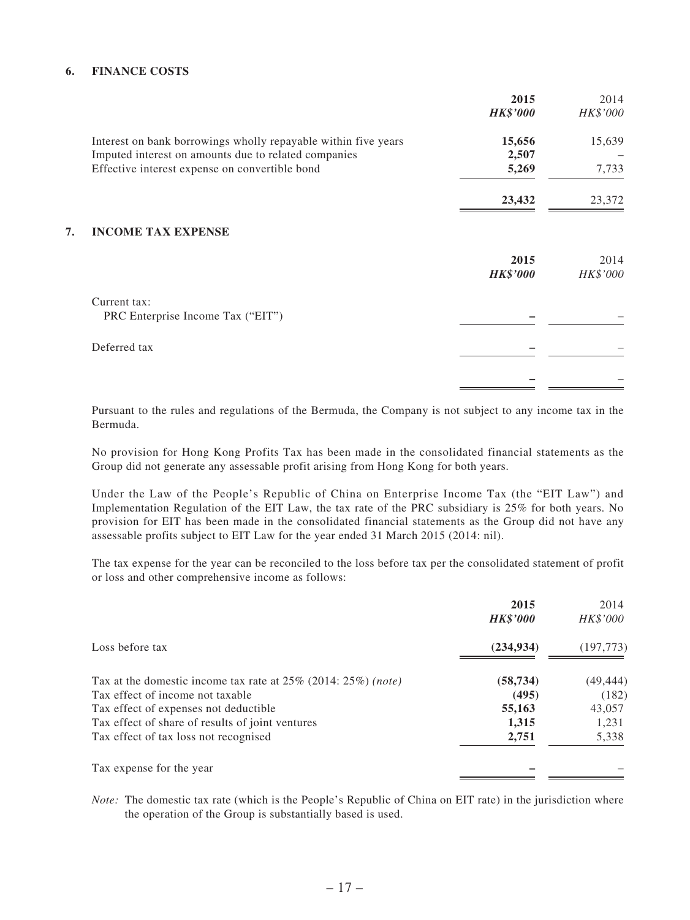### **6. FINANCE COSTS**

|                                                                | 2015<br><b>HK\$'000</b> | 2014<br>HK\$'000 |
|----------------------------------------------------------------|-------------------------|------------------|
| Interest on bank borrowings wholly repayable within five years | 15,656                  | 15,639           |
| Imputed interest on amounts due to related companies           | 2,507                   |                  |
| Effective interest expense on convertible bond                 | 5,269                   | 7,733            |
|                                                                | 23,432                  | 23,372           |
| <b>INCOME TAX EXPENSE</b><br>7.                                |                         |                  |
|                                                                | 2015<br><b>HK\$'000</b> | 2014<br>HK\$'000 |
| Current tax:                                                   |                         |                  |
| PRC Enterprise Income Tax ("EIT")                              |                         |                  |
| Deferred tax                                                   |                         |                  |
|                                                                |                         |                  |
|                                                                |                         |                  |

Pursuant to the rules and regulations of the Bermuda, the Company is not subject to any income tax in the Bermuda.

No provision for Hong Kong Profits Tax has been made in the consolidated financial statements as the Group did not generate any assessable profit arising from Hong Kong for both years.

Under the Law of the People's Republic of China on Enterprise Income Tax (the "EIT Law") and Implementation Regulation of the EIT Law, the tax rate of the PRC subsidiary is 25% for both years. No provision for EIT has been made in the consolidated financial statements as the Group did not have any assessable profits subject to EIT Law for the year ended 31 March 2015 (2014: nil).

The tax expense for the year can be reconciled to the loss before tax per the consolidated statement of profit or loss and other comprehensive income as follows:

|                                                                  | 2015<br><b>HK\$'000</b> | 2014<br><i>HK\$'000</i> |
|------------------------------------------------------------------|-------------------------|-------------------------|
| Loss before tax                                                  | (234, 934)              | (197, 773)              |
| Tax at the domestic income tax rate at $25\%$ (2014: 25%) (note) | (58, 734)               | (49, 444)               |
| Tax effect of income not taxable                                 | (495)                   | (182)                   |
| Tax effect of expenses not deductible                            | 55,163                  | 43,057                  |
| Tax effect of share of results of joint ventures                 | 1,315                   | 1,231                   |
| Tax effect of tax loss not recognised                            | 2,751                   | 5,338                   |
| Tax expense for the year                                         |                         |                         |

*Note:* The domestic tax rate (which is the People's Republic of China on EIT rate) in the jurisdiction where the operation of the Group is substantially based is used.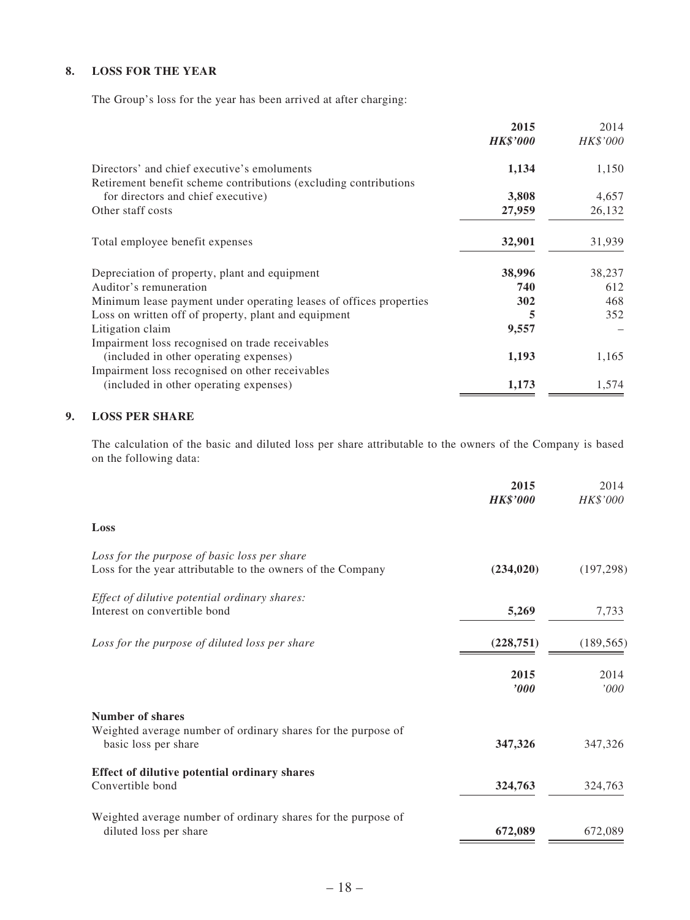### **8. LOSS FOR THE YEAR**

The Group's loss for the year has been arrived at after charging:

|                                                                                                                  | 2015            | 2014     |
|------------------------------------------------------------------------------------------------------------------|-----------------|----------|
|                                                                                                                  | <b>HK\$'000</b> | HK\$'000 |
| Directors' and chief executive's emoluments<br>Retirement benefit scheme contributions (excluding contributions) | 1,134           | 1,150    |
| for directors and chief executive)                                                                               | 3,808           | 4,657    |
| Other staff costs                                                                                                | 27,959          | 26,132   |
| Total employee benefit expenses                                                                                  | 32,901          | 31,939   |
| Depreciation of property, plant and equipment                                                                    | 38,996          | 38,237   |
| Auditor's remuneration                                                                                           | 740             | 612      |
| Minimum lease payment under operating leases of offices properties                                               | 302             | 468      |
| Loss on written off of property, plant and equipment                                                             | 5               | 352      |
| Litigation claim                                                                                                 | 9,557           |          |
| Impairment loss recognised on trade receivables                                                                  |                 |          |
| (included in other operating expenses)                                                                           | 1,193           | 1,165    |
| Impairment loss recognised on other receivables                                                                  |                 |          |
| (included in other operating expenses)                                                                           | 1,173           | 1,574    |

### **9. LOSS PER SHARE**

The calculation of the basic and diluted loss per share attributable to the owners of the Company is based on the following data:

|                                                                                                             | 2015<br><b>HK\$'000</b> | 2014<br>HK\$'000 |
|-------------------------------------------------------------------------------------------------------------|-------------------------|------------------|
| Loss                                                                                                        |                         |                  |
| Loss for the purpose of basic loss per share<br>Loss for the year attributable to the owners of the Company | (234, 020)              | (197, 298)       |
| Effect of dilutive potential ordinary shares:<br>Interest on convertible bond                               | 5,269                   | 7,733            |
| Loss for the purpose of diluted loss per share                                                              | (228, 751)              | (189, 565)       |
|                                                                                                             | 2015<br>$\bm{v}$        | 2014<br>'000     |
| <b>Number of shares</b>                                                                                     |                         |                  |
| Weighted average number of ordinary shares for the purpose of<br>basic loss per share                       | 347,326                 | 347,326          |
| Effect of dilutive potential ordinary shares<br>Convertible bond                                            | 324,763                 | 324,763          |
| Weighted average number of ordinary shares for the purpose of<br>diluted loss per share                     | 672,089                 | 672,089          |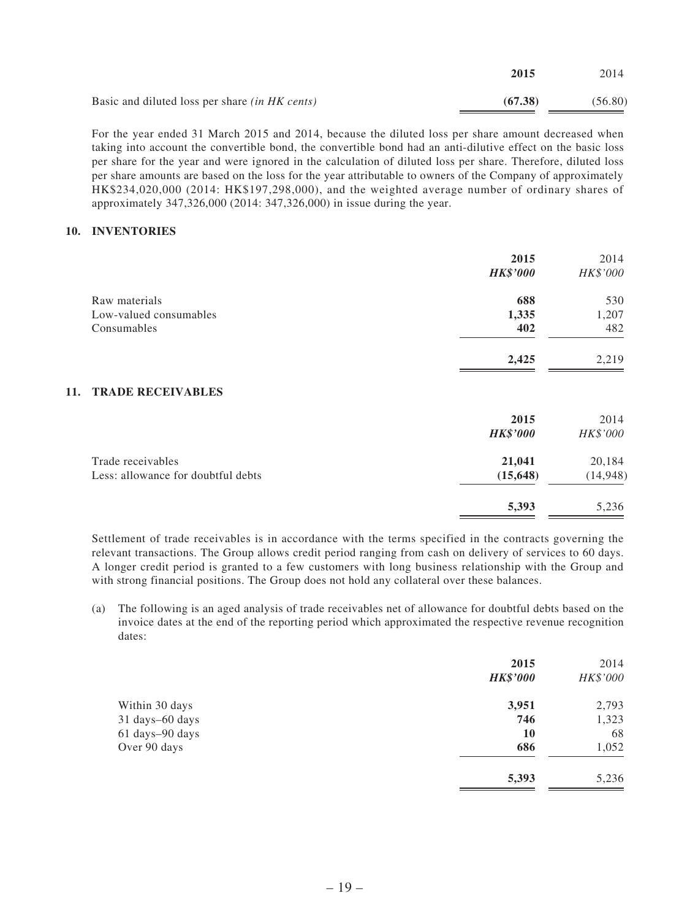|                                                       | 2015    | 2014    |
|-------------------------------------------------------|---------|---------|
| Basic and diluted loss per share <i>(in HK cents)</i> | (67.38) | (56.80) |

For the year ended 31 March 2015 and 2014, because the diluted loss per share amount decreased when taking into account the convertible bond, the convertible bond had an anti-dilutive effect on the basic loss per share for the year and were ignored in the calculation of diluted loss per share. Therefore, diluted loss per share amounts are based on the loss for the year attributable to owners of the Company of approximately HK\$234,020,000 (2014: HK\$197,298,000), and the weighted average number of ordinary shares of approximately 347,326,000 (2014: 347,326,000) in issue during the year.

### **10. INVENTORIES**

|                                    | 2015<br><b>HK\$'000</b> | 2014<br>HK\$'000 |
|------------------------------------|-------------------------|------------------|
| Raw materials                      | 688                     | 530              |
| Low-valued consumables             | 1,335                   | 1,207            |
| Consumables                        | 402                     | 482              |
|                                    | 2,425                   | 2,219            |
| <b>TRADE RECEIVABLES</b><br>11.    |                         |                  |
|                                    | 2015                    | 2014             |
|                                    | <b>HK\$'000</b>         | HK\$'000         |
| Trade receivables                  | 21,041                  | 20,184           |
| Less: allowance for doubtful debts | (15, 648)               | (14, 948)        |
|                                    | 5,393                   | 5,236            |

Settlement of trade receivables is in accordance with the terms specified in the contracts governing the relevant transactions. The Group allows credit period ranging from cash on delivery of services to 60 days. A longer credit period is granted to a few customers with long business relationship with the Group and with strong financial positions. The Group does not hold any collateral over these balances.

(a) The following is an aged analysis of trade receivables net of allowance for doubtful debts based on the invoice dates at the end of the reporting period which approximated the respective revenue recognition dates:

|                 | 2015<br><b>HK\$'000</b> | 2014<br>HK\$'000 |
|-----------------|-------------------------|------------------|
| Within 30 days  | 3,951                   | 2,793            |
| 31 days-60 days | 746                     | 1,323            |
| 61 days-90 days | <b>10</b>               | 68               |
| Over 90 days    | 686                     | 1,052            |
|                 | 5,393                   | 5,236            |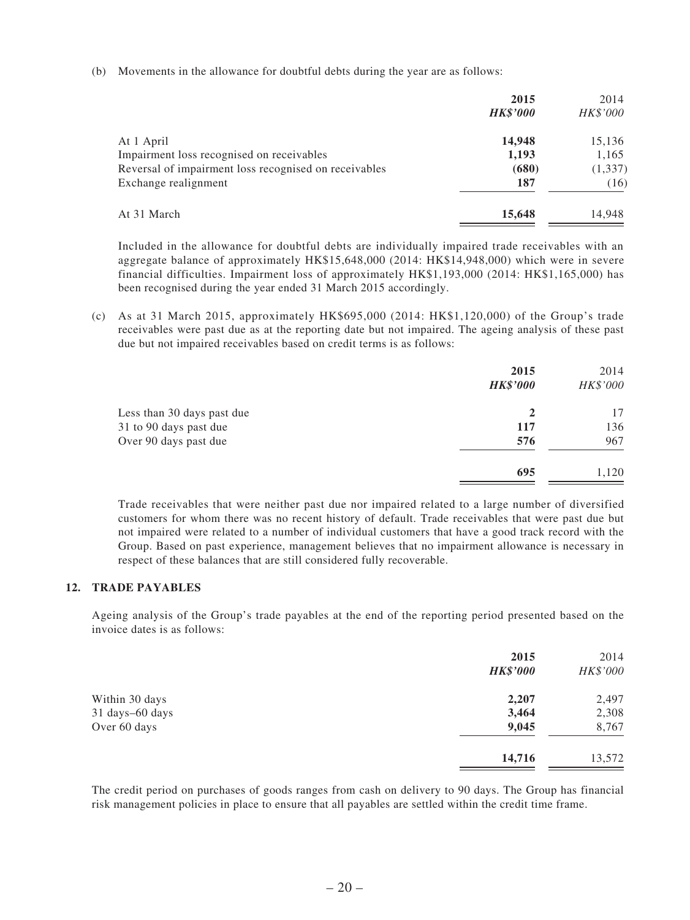(b) Movements in the allowance for doubtful debts during the year are as follows:

|                                                       | 2015            | 2014     |
|-------------------------------------------------------|-----------------|----------|
|                                                       | <b>HK\$'000</b> | HK\$'000 |
| At 1 April                                            | 14,948          | 15,136   |
| Impairment loss recognised on receivables             | 1,193           | 1,165    |
| Reversal of impairment loss recognised on receivables | (680)           | (1, 337) |
| Exchange realignment                                  | 187             | (16)     |
| At 31 March                                           | 15,648          | 14.948   |
|                                                       |                 |          |

Included in the allowance for doubtful debts are individually impaired trade receivables with an aggregate balance of approximately HK\$15,648,000 (2014: HK\$14,948,000) which were in severe financial difficulties. Impairment loss of approximately HK\$1,193,000 (2014: HK\$1,165,000) has been recognised during the year ended 31 March 2015 accordingly.

(c) As at 31 March 2015, approximately HK\$695,000 (2014: HK\$1,120,000) of the Group's trade receivables were past due as at the reporting date but not impaired. The ageing analysis of these past due but not impaired receivables based on credit terms is as follows:

|                            | 2015<br><b>HK\$'000</b> | 2014<br>HK\$'000 |
|----------------------------|-------------------------|------------------|
| Less than 30 days past due | $\mathbf{2}$            | 17               |
| 31 to 90 days past due     | 117                     | 136              |
| Over 90 days past due      | 576                     | 967              |
|                            | 695                     | 1,120            |

Trade receivables that were neither past due nor impaired related to a large number of diversified customers for whom there was no recent history of default. Trade receivables that were past due but not impaired were related to a number of individual customers that have a good track record with the Group. Based on past experience, management believes that no impairment allowance is necessary in respect of these balances that are still considered fully recoverable.

### **12. TRADE PAYABLES**

Ageing analysis of the Group's trade payables at the end of the reporting period presented based on the invoice dates is as follows:

| 2015<br><b>HK\$'000</b> | 2014<br>HK\$'000 |
|-------------------------|------------------|
| 2,207                   | 2,497            |
| 3,464                   | 2,308            |
| 9,045                   | 8,767            |
| 14,716                  | 13,572           |
|                         |                  |

The credit period on purchases of goods ranges from cash on delivery to 90 days. The Group has financial risk management policies in place to ensure that all payables are settled within the credit time frame.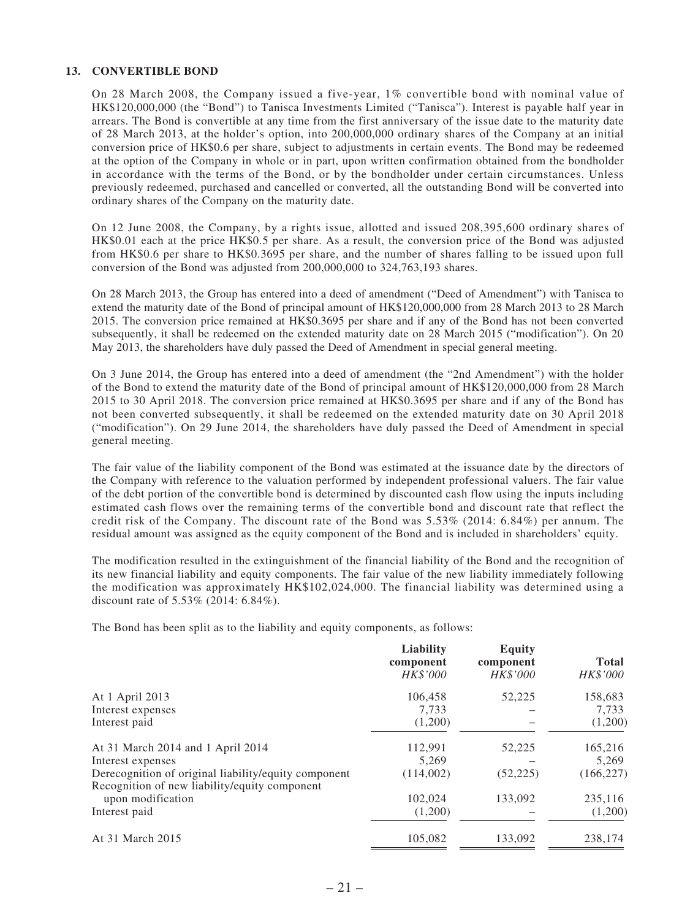### **13. CONVERTIBLE BOND**

On 28 March 2008, the Company issued a five-year, 1% convertible bond with nominal value of HK\$120,000,000 (the "Bond") to Tanisca Investments Limited ("Tanisca"). Interest is payable half year in arrears. The Bond is convertible at any time from the first anniversary of the issue date to the maturity date of 28 March 2013, at the holder's option, into 200,000,000 ordinary shares of the Company at an initial conversion price of HK\$0.6 per share, subject to adjustments in certain events. The Bond may be redeemed at the option of the Company in whole or in part, upon written confirmation obtained from the bondholder in accordance with the terms of the Bond, or by the bondholder under certain circumstances. Unless previously redeemed, purchased and cancelled or converted, all the outstanding Bond will be converted into ordinary shares of the Company on the maturity date.

On 12 June 2008, the Company, by a rights issue, allotted and issued 208,395,600 ordinary shares of HK\$0.01 each at the price HK\$0.5 per share. As a result, the conversion price of the Bond was adjusted from HK\$0.6 per share to HK\$0.3695 per share, and the number of shares falling to be issued upon full conversion of the Bond was adjusted from 200,000,000 to 324,763,193 shares.

On 28 March 2013, the Group has entered into a deed of amendment ("Deed of Amendment") with Tanisca to extend the maturity date of the Bond of principal amount of HK\$120,000,000 from 28 March 2013 to 28 March 2015. The conversion price remained at HK\$0.3695 per share and if any of the Bond has not been converted subsequently, it shall be redeemed on the extended maturity date on 28 March 2015 ("modification"). On 20 May 2013, the shareholders have duly passed the Deed of Amendment in special general meeting.

On 3 June 2014, the Group has entered into a deed of amendment (the "2nd Amendment") with the holder of the Bond to extend the maturity date of the Bond of principal amount of HK\$120,000,000 from 28 March 2015 to 30 April 2018. The conversion price remained at HK\$0.3695 per share and if any of the Bond has not been converted subsequently, it shall be redeemed on the extended maturity date on 30 April 2018 ("modification"). On 29 June 2014, the shareholders have duly passed the Deed of Amendment in special general meeting.

The fair value of the liability component of the Bond was estimated at the issuance date by the directors of the Company with reference to the valuation performed by independent professional valuers. The fair value of the debt portion of the convertible bond is determined by discounted cash flow using the inputs including estimated cash flows over the remaining terms of the convertible bond and discount rate that reflect the credit risk of the Company. The discount rate of the Bond was 5.53% (2014: 6.84%) per annum. The residual amount was assigned as the equity component of the Bond and is included in shareholders' equity.

The modification resulted in the extinguishment of the financial liability of the Bond and the recognition of its new financial liability and equity components. The fair value of the new liability immediately following the modification was approximately HK\$102,024,000. The financial liability was determined using a discount rate of 5.53% (2014: 6.84%).

The Bond has been split as to the liability and equity components, as follows:

|                                                      | Liability<br>component<br>HK\$'000 | <b>Equity</b><br>component<br>HK\$'000 | <b>Total</b><br>HK\$'000 |
|------------------------------------------------------|------------------------------------|----------------------------------------|--------------------------|
| At 1 April 2013                                      | 106,458                            | 52,225                                 | 158,683                  |
| Interest expenses                                    | 7.733                              |                                        | 7,733                    |
| Interest paid                                        | (1,200)                            |                                        | (1,200)                  |
| At 31 March 2014 and 1 April 2014                    | 112,991                            | 52,225                                 | 165,216                  |
| Interest expenses                                    | 5.269                              |                                        | 5,269                    |
| Derecognition of original liability/equity component | (114,002)                          | (52, 225)                              | (166, 227)               |
| Recognition of new liability/equity component        |                                    |                                        |                          |
| upon modification                                    | 102,024                            | 133,092                                | 235,116                  |
| Interest paid                                        | (1,200)                            |                                        | (1,200)                  |
| At 31 March 2015                                     | 105,082                            | 133,092                                | 238,174                  |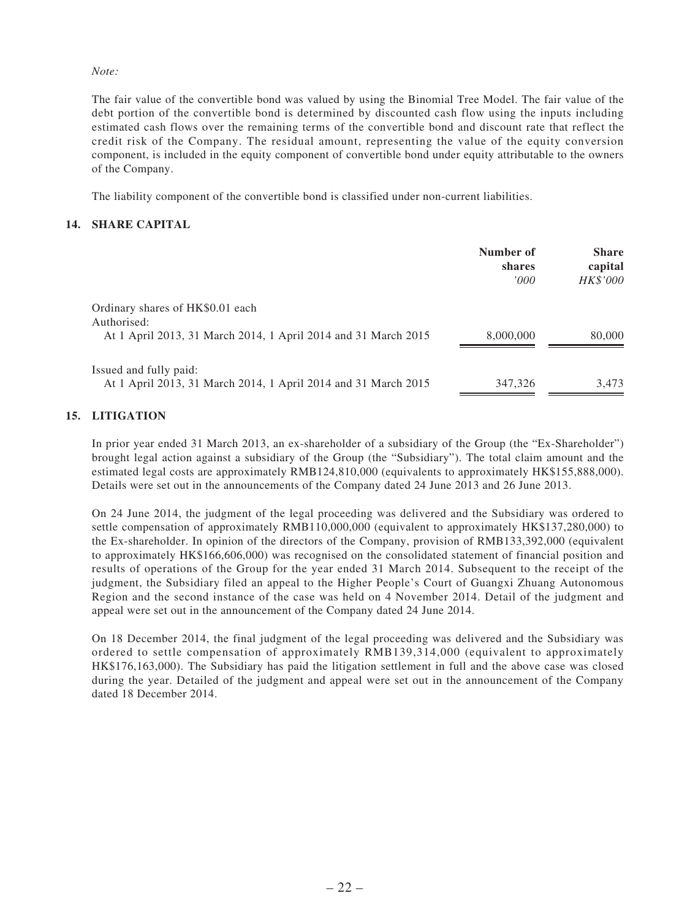*Note:*

The fair value of the convertible bond was valued by using the Binomial Tree Model. The fair value of the debt portion of the convertible bond is determined by discounted cash flow using the inputs including estimated cash flows over the remaining terms of the convertible bond and discount rate that reflect the credit risk of the Company. The residual amount, representing the value of the equity conversion component, is included in the equity component of convertible bond under equity attributable to the owners of the Company.

The liability component of the convertible bond is classified under non-current liabilities.

### **14. SHARE CAPITAL**

|                                                                                                                   | Number of<br>shares<br>'000' | <b>Share</b><br>capital<br><b>HK\$'000</b> |
|-------------------------------------------------------------------------------------------------------------------|------------------------------|--------------------------------------------|
| Ordinary shares of HK\$0.01 each<br>Authorised:<br>At 1 April 2013, 31 March 2014, 1 April 2014 and 31 March 2015 | 8,000,000                    | 80,000                                     |
| Issued and fully paid:<br>At 1 April 2013, 31 March 2014, 1 April 2014 and 31 March 2015                          | 347,326                      | 3,473                                      |

### **15. LITIGATION**

In prior year ended 31 March 2013, an ex-shareholder of a subsidiary of the Group (the "Ex-Shareholder") brought legal action against a subsidiary of the Group (the "Subsidiary"). The total claim amount and the estimated legal costs are approximately RMB124,810,000 (equivalents to approximately HK\$155,888,000). Details were set out in the announcements of the Company dated 24 June 2013 and 26 June 2013.

On 24 June 2014, the judgment of the legal proceeding was delivered and the Subsidiary was ordered to settle compensation of approximately RMB110,000,000 (equivalent to approximately HK\$137,280,000) to the Ex-shareholder. In opinion of the directors of the Company, provision of RMB133,392,000 (equivalent to approximately HK\$166,606,000) was recognised on the consolidated statement of financial position and results of operations of the Group for the year ended 31 March 2014. Subsequent to the receipt of the judgment, the Subsidiary filed an appeal to the Higher People's Court of Guangxi Zhuang Autonomous Region and the second instance of the case was held on 4 November 2014. Detail of the judgment and appeal were set out in the announcement of the Company dated 24 June 2014.

On 18 December 2014, the final judgment of the legal proceeding was delivered and the Subsidiary was ordered to settle compensation of approximately RMB139,314,000 (equivalent to approximately HK\$176,163,000). The Subsidiary has paid the litigation settlement in full and the above case was closed during the year. Detailed of the judgment and appeal were set out in the announcement of the Company dated 18 December 2014.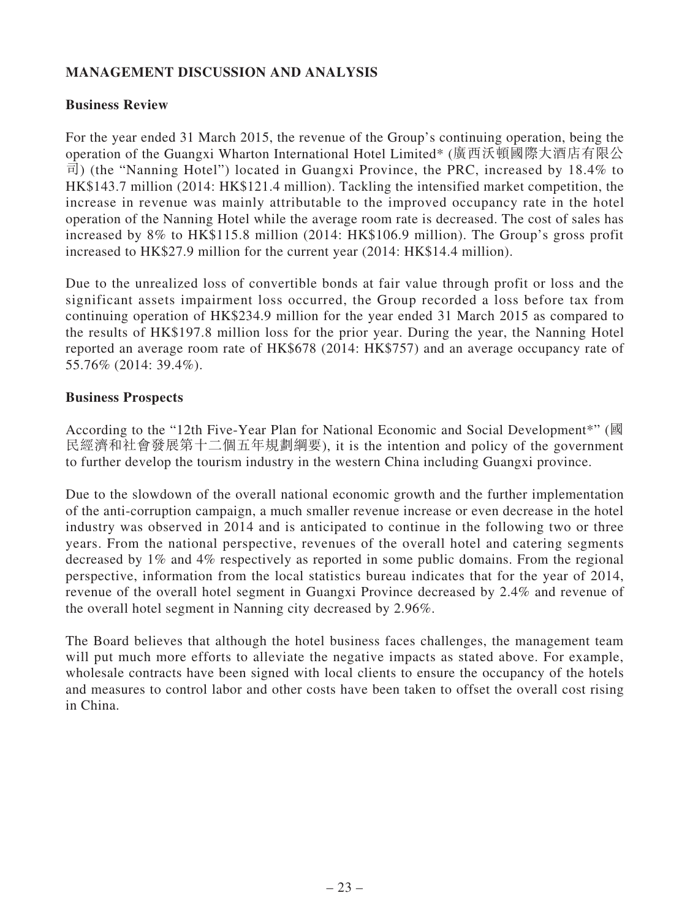# **MANAGEMENT DISCUSSION AND ANALYSIS**

### **Business Review**

For the year ended 31 March 2015, the revenue of the Group's continuing operation, being the operation of the Guangxi Wharton International Hotel Limited\* (廣西沃頓國際大酒店有限公 司) (the "Nanning Hotel") located in Guangxi Province, the PRC, increased by 18.4% to HK\$143.7 million (2014: HK\$121.4 million). Tackling the intensified market competition, the increase in revenue was mainly attributable to the improved occupancy rate in the hotel operation of the Nanning Hotel while the average room rate is decreased. The cost of sales has increased by 8% to HK\$115.8 million (2014: HK\$106.9 million). The Group's gross profit increased to HK\$27.9 million for the current year (2014: HK\$14.4 million).

Due to the unrealized loss of convertible bonds at fair value through profit or loss and the significant assets impairment loss occurred, the Group recorded a loss before tax from continuing operation of HK\$234.9 million for the year ended 31 March 2015 as compared to the results of HK\$197.8 million loss for the prior year. During the year, the Nanning Hotel reported an average room rate of HK\$678 (2014: HK\$757) and an average occupancy rate of 55.76% (2014: 39.4%).

### **Business Prospects**

According to the "12th Five-Year Plan for National Economic and Social Development\*" (國 民經濟和社會發展第十二個五年規劃綱要), it is the intention and policy of the government to further develop the tourism industry in the western China including Guangxi province.

Due to the slowdown of the overall national economic growth and the further implementation of the anti-corruption campaign, a much smaller revenue increase or even decrease in the hotel industry was observed in 2014 and is anticipated to continue in the following two or three years. From the national perspective, revenues of the overall hotel and catering segments decreased by 1% and 4% respectively as reported in some public domains. From the regional perspective, information from the local statistics bureau indicates that for the year of 2014, revenue of the overall hotel segment in Guangxi Province decreased by 2.4% and revenue of the overall hotel segment in Nanning city decreased by 2.96%.

The Board believes that although the hotel business faces challenges, the management team will put much more efforts to alleviate the negative impacts as stated above. For example, wholesale contracts have been signed with local clients to ensure the occupancy of the hotels and measures to control labor and other costs have been taken to offset the overall cost rising in China.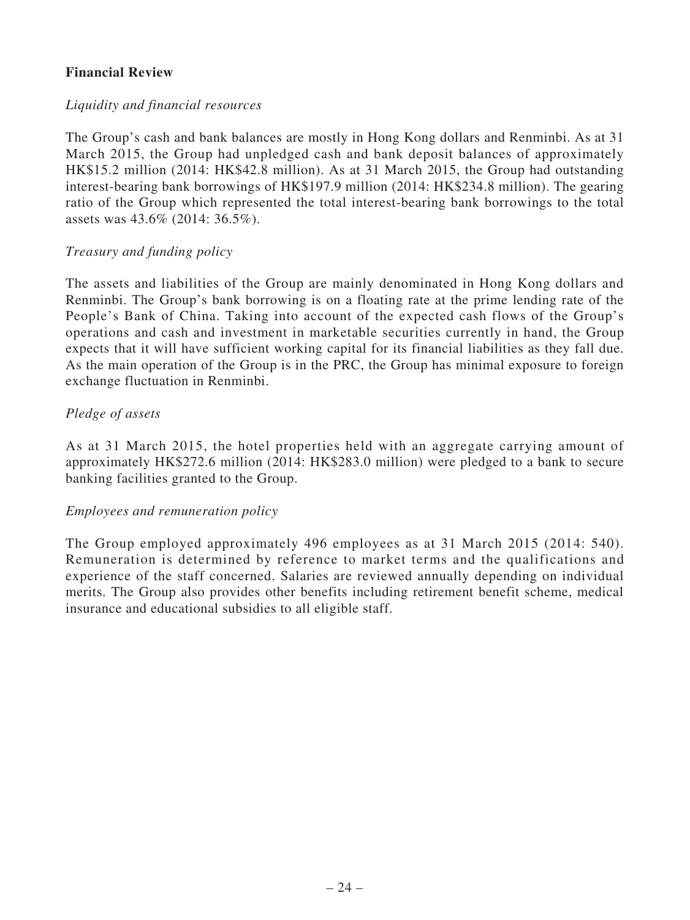# **Financial Review**

### *Liquidity and financial resources*

The Group's cash and bank balances are mostly in Hong Kong dollars and Renminbi. As at 31 March 2015, the Group had unpledged cash and bank deposit balances of approximately HK\$15.2 million (2014: HK\$42.8 million). As at 31 March 2015, the Group had outstanding interest-bearing bank borrowings of HK\$197.9 million (2014: HK\$234.8 million). The gearing ratio of the Group which represented the total interest-bearing bank borrowings to the total assets was 43.6% (2014: 36.5%).

### *Treasury and funding policy*

The assets and liabilities of the Group are mainly denominated in Hong Kong dollars and Renminbi. The Group's bank borrowing is on a floating rate at the prime lending rate of the People's Bank of China. Taking into account of the expected cash flows of the Group's operations and cash and investment in marketable securities currently in hand, the Group expects that it will have sufficient working capital for its financial liabilities as they fall due. As the main operation of the Group is in the PRC, the Group has minimal exposure to foreign exchange fluctuation in Renminbi.

### *Pledge of assets*

As at 31 March 2015, the hotel properties held with an aggregate carrying amount of approximately HK\$272.6 million (2014: HK\$283.0 million) were pledged to a bank to secure banking facilities granted to the Group.

### *Employees and remuneration policy*

The Group employed approximately 496 employees as at 31 March 2015 (2014: 540). Remuneration is determined by reference to market terms and the qualifications and experience of the staff concerned. Salaries are reviewed annually depending on individual merits. The Group also provides other benefits including retirement benefit scheme, medical insurance and educational subsidies to all eligible staff.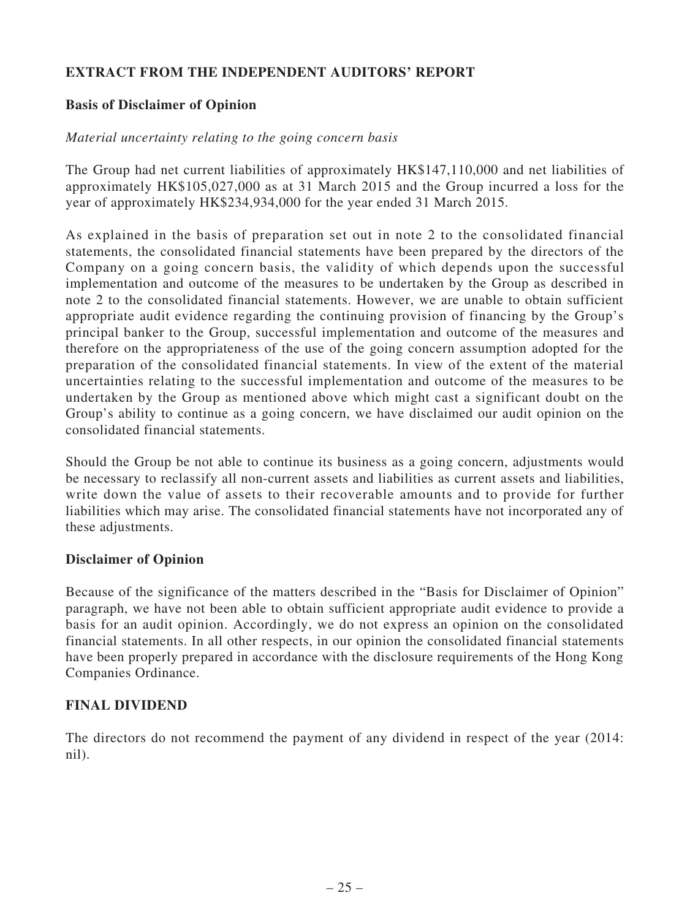# **EXTRACT FROM THE INDEPENDENT AUDITORS' REPORT**

# **Basis of Disclaimer of Opinion**

### *Material uncertainty relating to the going concern basis*

The Group had net current liabilities of approximately HK\$147,110,000 and net liabilities of approximately HK\$105,027,000 as at 31 March 2015 and the Group incurred a loss for the year of approximately HK\$234,934,000 for the year ended 31 March 2015.

As explained in the basis of preparation set out in note 2 to the consolidated financial statements, the consolidated financial statements have been prepared by the directors of the Company on a going concern basis, the validity of which depends upon the successful implementation and outcome of the measures to be undertaken by the Group as described in note 2 to the consolidated financial statements. However, we are unable to obtain sufficient appropriate audit evidence regarding the continuing provision of financing by the Group's principal banker to the Group, successful implementation and outcome of the measures and therefore on the appropriateness of the use of the going concern assumption adopted for the preparation of the consolidated financial statements. In view of the extent of the material uncertainties relating to the successful implementation and outcome of the measures to be undertaken by the Group as mentioned above which might cast a significant doubt on the Group's ability to continue as a going concern, we have disclaimed our audit opinion on the consolidated financial statements.

Should the Group be not able to continue its business as a going concern, adjustments would be necessary to reclassify all non-current assets and liabilities as current assets and liabilities, write down the value of assets to their recoverable amounts and to provide for further liabilities which may arise. The consolidated financial statements have not incorporated any of these adjustments.

# **Disclaimer of Opinion**

Because of the significance of the matters described in the "Basis for Disclaimer of Opinion" paragraph, we have not been able to obtain sufficient appropriate audit evidence to provide a basis for an audit opinion. Accordingly, we do not express an opinion on the consolidated financial statements. In all other respects, in our opinion the consolidated financial statements have been properly prepared in accordance with the disclosure requirements of the Hong Kong Companies Ordinance.

# **FINAL DIVIDEND**

The directors do not recommend the payment of any dividend in respect of the year (2014: nil).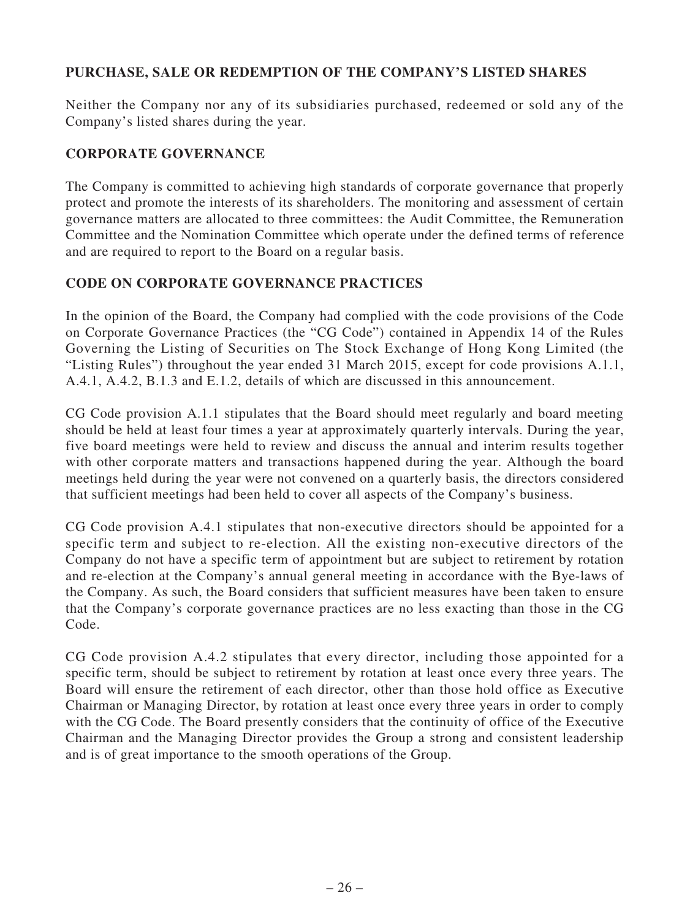# **PURCHASE, SALE OR REDEMPTION OF THE COMPANY'S LISTED SHARES**

Neither the Company nor any of its subsidiaries purchased, redeemed or sold any of the Company's listed shares during the year.

# **CORPORATE GOVERNANCE**

The Company is committed to achieving high standards of corporate governance that properly protect and promote the interests of its shareholders. The monitoring and assessment of certain governance matters are allocated to three committees: the Audit Committee, the Remuneration Committee and the Nomination Committee which operate under the defined terms of reference and are required to report to the Board on a regular basis.

# **CODE ON CORPORATE GOVERNANCE PRACTICES**

In the opinion of the Board, the Company had complied with the code provisions of the Code on Corporate Governance Practices (the "CG Code") contained in Appendix 14 of the Rules Governing the Listing of Securities on The Stock Exchange of Hong Kong Limited (the "Listing Rules") throughout the year ended 31 March 2015, except for code provisions A.1.1, A.4.1, A.4.2, B.1.3 and E.1.2, details of which are discussed in this announcement.

CG Code provision A.1.1 stipulates that the Board should meet regularly and board meeting should be held at least four times a year at approximately quarterly intervals. During the year, five board meetings were held to review and discuss the annual and interim results together with other corporate matters and transactions happened during the year. Although the board meetings held during the year were not convened on a quarterly basis, the directors considered that sufficient meetings had been held to cover all aspects of the Company's business.

CG Code provision A.4.1 stipulates that non-executive directors should be appointed for a specific term and subject to re-election. All the existing non-executive directors of the Company do not have a specific term of appointment but are subject to retirement by rotation and re-election at the Company's annual general meeting in accordance with the Bye-laws of the Company. As such, the Board considers that sufficient measures have been taken to ensure that the Company's corporate governance practices are no less exacting than those in the CG Code.

CG Code provision A.4.2 stipulates that every director, including those appointed for a specific term, should be subject to retirement by rotation at least once every three years. The Board will ensure the retirement of each director, other than those hold office as Executive Chairman or Managing Director, by rotation at least once every three years in order to comply with the CG Code. The Board presently considers that the continuity of office of the Executive Chairman and the Managing Director provides the Group a strong and consistent leadership and is of great importance to the smooth operations of the Group.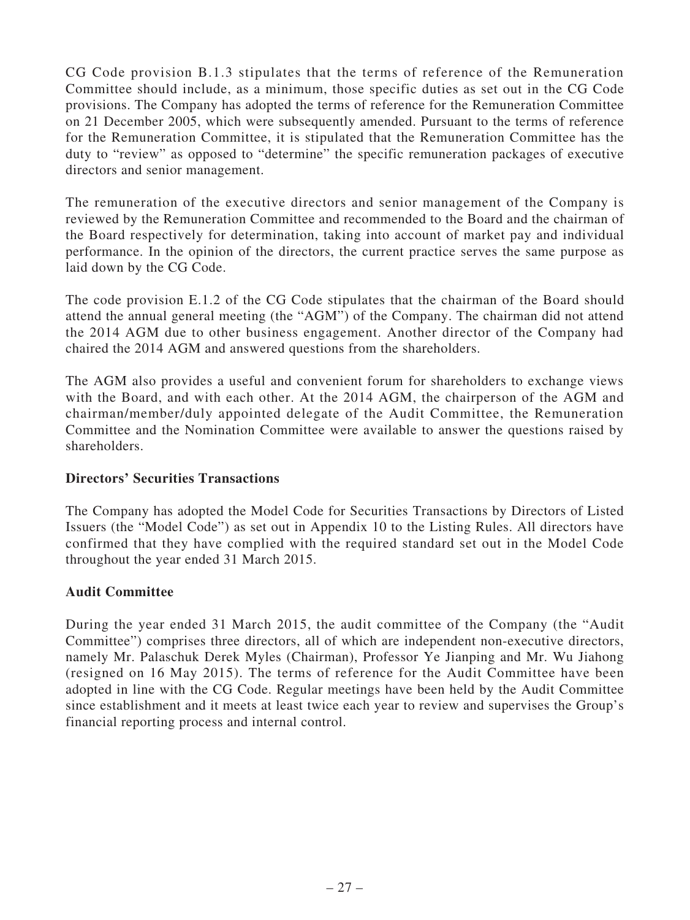CG Code provision B.1.3 stipulates that the terms of reference of the Remuneration Committee should include, as a minimum, those specific duties as set out in the CG Code provisions. The Company has adopted the terms of reference for the Remuneration Committee on 21 December 2005, which were subsequently amended. Pursuant to the terms of reference for the Remuneration Committee, it is stipulated that the Remuneration Committee has the duty to "review" as opposed to "determine" the specific remuneration packages of executive directors and senior management.

The remuneration of the executive directors and senior management of the Company is reviewed by the Remuneration Committee and recommended to the Board and the chairman of the Board respectively for determination, taking into account of market pay and individual performance. In the opinion of the directors, the current practice serves the same purpose as laid down by the CG Code.

The code provision E.1.2 of the CG Code stipulates that the chairman of the Board should attend the annual general meeting (the "AGM") of the Company. The chairman did not attend the 2014 AGM due to other business engagement. Another director of the Company had chaired the 2014 AGM and answered questions from the shareholders.

The AGM also provides a useful and convenient forum for shareholders to exchange views with the Board, and with each other. At the 2014 AGM, the chairperson of the AGM and chairman/member/duly appointed delegate of the Audit Committee, the Remuneration Committee and the Nomination Committee were available to answer the questions raised by shareholders.

# **Directors' Securities Transactions**

The Company has adopted the Model Code for Securities Transactions by Directors of Listed Issuers (the "Model Code") as set out in Appendix 10 to the Listing Rules. All directors have confirmed that they have complied with the required standard set out in the Model Code throughout the year ended 31 March 2015.

# **Audit Committee**

During the year ended 31 March 2015, the audit committee of the Company (the "Audit Committee") comprises three directors, all of which are independent non-executive directors, namely Mr. Palaschuk Derek Myles (Chairman), Professor Ye Jianping and Mr. Wu Jiahong (resigned on 16 May 2015). The terms of reference for the Audit Committee have been adopted in line with the CG Code. Regular meetings have been held by the Audit Committee since establishment and it meets at least twice each year to review and supervises the Group's financial reporting process and internal control.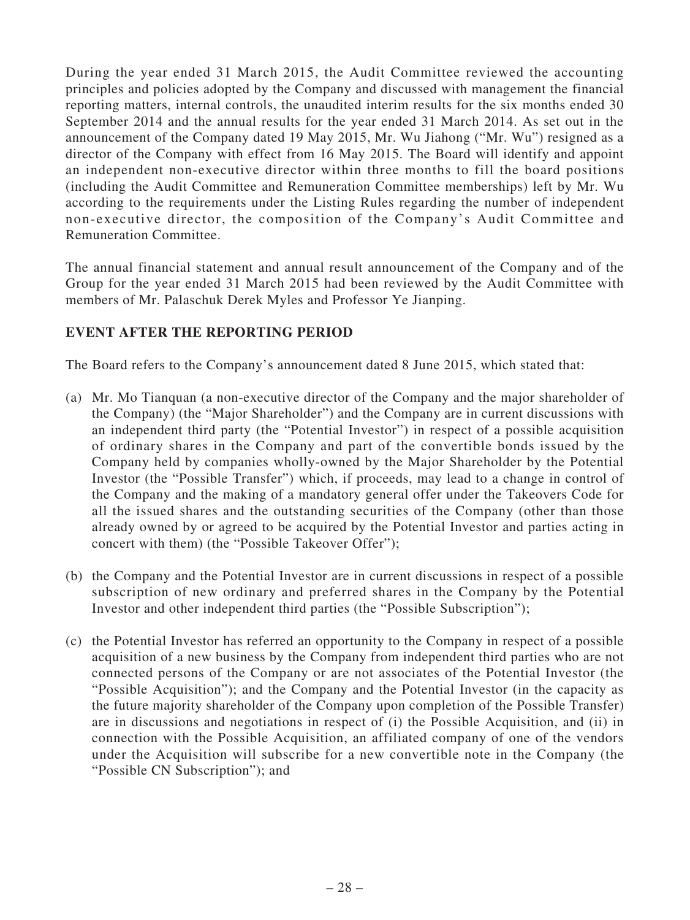During the year ended 31 March 2015, the Audit Committee reviewed the accounting principles and policies adopted by the Company and discussed with management the financial reporting matters, internal controls, the unaudited interim results for the six months ended 30 September 2014 and the annual results for the year ended 31 March 2014. As set out in the announcement of the Company dated 19 May 2015, Mr. Wu Jiahong ("Mr. Wu") resigned as a director of the Company with effect from 16 May 2015. The Board will identify and appoint an independent non-executive director within three months to fill the board positions (including the Audit Committee and Remuneration Committee memberships) left by Mr. Wu according to the requirements under the Listing Rules regarding the number of independent non-executive director, the composition of the Company's Audit Committee and Remuneration Committee.

The annual financial statement and annual result announcement of the Company and of the Group for the year ended 31 March 2015 had been reviewed by the Audit Committee with members of Mr. Palaschuk Derek Myles and Professor Ye Jianping.

# **EVENT AFTER THE REPORTING PERIOD**

The Board refers to the Company's announcement dated 8 June 2015, which stated that:

- (a) Mr. Mo Tianquan (a non-executive director of the Company and the major shareholder of the Company) (the "Major Shareholder") and the Company are in current discussions with an independent third party (the "Potential Investor") in respect of a possible acquisition of ordinary shares in the Company and part of the convertible bonds issued by the Company held by companies wholly-owned by the Major Shareholder by the Potential Investor (the "Possible Transfer") which, if proceeds, may lead to a change in control of the Company and the making of a mandatory general offer under the Takeovers Code for all the issued shares and the outstanding securities of the Company (other than those already owned by or agreed to be acquired by the Potential Investor and parties acting in concert with them) (the "Possible Takeover Offer");
- (b) the Company and the Potential Investor are in current discussions in respect of a possible subscription of new ordinary and preferred shares in the Company by the Potential Investor and other independent third parties (the "Possible Subscription");
- (c) the Potential Investor has referred an opportunity to the Company in respect of a possible acquisition of a new business by the Company from independent third parties who are not connected persons of the Company or are not associates of the Potential Investor (the "Possible Acquisition"); and the Company and the Potential Investor (in the capacity as the future majority shareholder of the Company upon completion of the Possible Transfer) are in discussions and negotiations in respect of (i) the Possible Acquisition, and (ii) in connection with the Possible Acquisition, an affiliated company of one of the vendors under the Acquisition will subscribe for a new convertible note in the Company (the "Possible CN Subscription"); and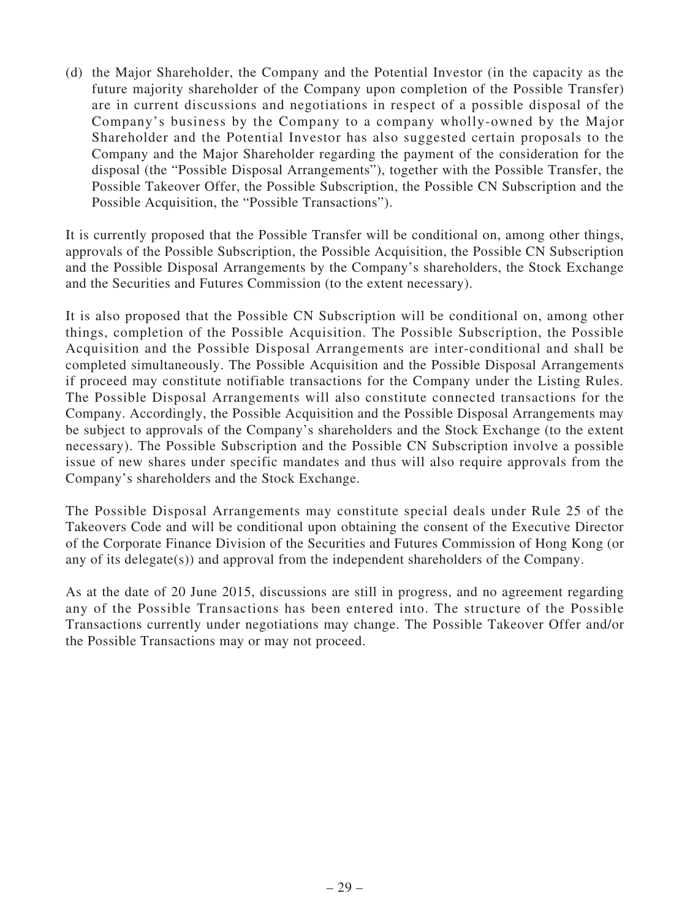(d) the Major Shareholder, the Company and the Potential Investor (in the capacity as the future majority shareholder of the Company upon completion of the Possible Transfer) are in current discussions and negotiations in respect of a possible disposal of the Company's business by the Company to a company wholly-owned by the Major Shareholder and the Potential Investor has also suggested certain proposals to the Company and the Major Shareholder regarding the payment of the consideration for the disposal (the "Possible Disposal Arrangements"), together with the Possible Transfer, the Possible Takeover Offer, the Possible Subscription, the Possible CN Subscription and the Possible Acquisition, the "Possible Transactions").

It is currently proposed that the Possible Transfer will be conditional on, among other things, approvals of the Possible Subscription, the Possible Acquisition, the Possible CN Subscription and the Possible Disposal Arrangements by the Company's shareholders, the Stock Exchange and the Securities and Futures Commission (to the extent necessary).

It is also proposed that the Possible CN Subscription will be conditional on, among other things, completion of the Possible Acquisition. The Possible Subscription, the Possible Acquisition and the Possible Disposal Arrangements are inter-conditional and shall be completed simultaneously. The Possible Acquisition and the Possible Disposal Arrangements if proceed may constitute notifiable transactions for the Company under the Listing Rules. The Possible Disposal Arrangements will also constitute connected transactions for the Company. Accordingly, the Possible Acquisition and the Possible Disposal Arrangements may be subject to approvals of the Company's shareholders and the Stock Exchange (to the extent necessary). The Possible Subscription and the Possible CN Subscription involve a possible issue of new shares under specific mandates and thus will also require approvals from the Company's shareholders and the Stock Exchange.

The Possible Disposal Arrangements may constitute special deals under Rule 25 of the Takeovers Code and will be conditional upon obtaining the consent of the Executive Director of the Corporate Finance Division of the Securities and Futures Commission of Hong Kong (or any of its delegate(s)) and approval from the independent shareholders of the Company.

As at the date of 20 June 2015, discussions are still in progress, and no agreement regarding any of the Possible Transactions has been entered into. The structure of the Possible Transactions currently under negotiations may change. The Possible Takeover Offer and/or the Possible Transactions may or may not proceed.